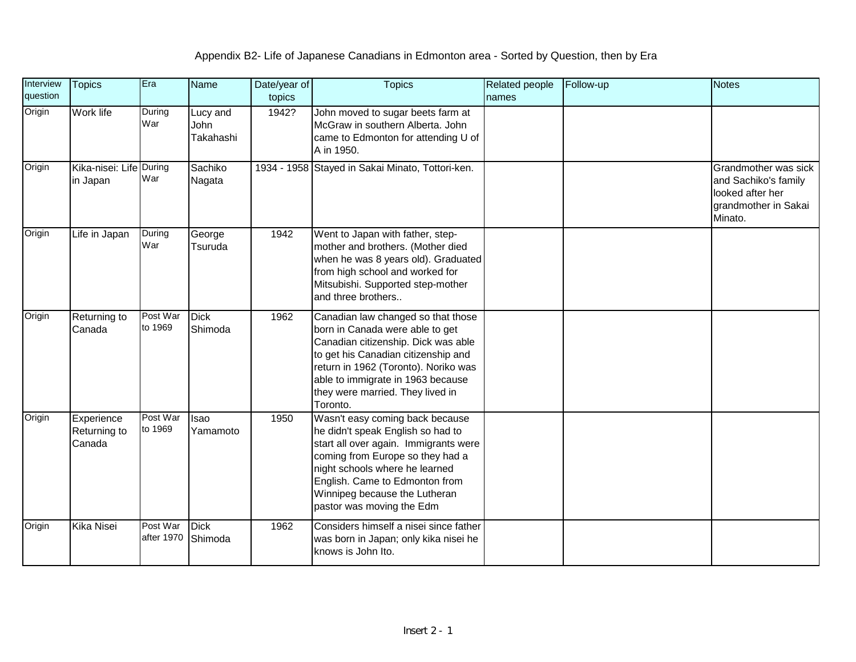| Interview<br>question | <b>Topics</b>                        | Era                    | <b>Name</b>                   | Date/year of<br>topics | <b>Topics</b>                                                                                                                                                                                                                                                                       | Related people<br>names | Follow-up | <b>Notes</b>                                                                                        |
|-----------------------|--------------------------------------|------------------------|-------------------------------|------------------------|-------------------------------------------------------------------------------------------------------------------------------------------------------------------------------------------------------------------------------------------------------------------------------------|-------------------------|-----------|-----------------------------------------------------------------------------------------------------|
| Origin                | Work life                            | During<br>War          | Lucy and<br>John<br>Takahashi | 1942?                  | John moved to sugar beets farm at<br>McGraw in southern Alberta. John<br>came to Edmonton for attending U of<br>A in 1950.                                                                                                                                                          |                         |           |                                                                                                     |
| Origin                | Kika-nisei: Life During<br>in Japan  | War                    | Sachiko<br>Nagata             |                        | 1934 - 1958 Stayed in Sakai Minato, Tottori-ken.                                                                                                                                                                                                                                    |                         |           | Grandmother was sick<br>and Sachiko's family<br>looked after her<br>grandmother in Sakai<br>Minato. |
| Origin                | Life in Japan                        | During<br>War          | George<br>Tsuruda             | 1942                   | Went to Japan with father, step-<br>mother and brothers. (Mother died<br>when he was 8 years old). Graduated<br>from high school and worked for<br>Mitsubishi. Supported step-mother<br>and three brothers                                                                          |                         |           |                                                                                                     |
| Origin                | Returning to<br>Canada               | Post War<br>to 1969    | <b>Dick</b><br>Shimoda        | 1962                   | Canadian law changed so that those<br>born in Canada were able to get<br>Canadian citizenship. Dick was able<br>to get his Canadian citizenship and<br>return in 1962 (Toronto). Noriko was<br>able to immigrate in 1963 because<br>they were married. They lived in<br>Toronto.    |                         |           |                                                                                                     |
| Origin                | Experience<br>Returning to<br>Canada | Post War<br>to 1969    | Isao<br>Yamamoto              | 1950                   | Wasn't easy coming back because<br>he didn't speak English so had to<br>start all over again. Immigrants were<br>coming from Europe so they had a<br>night schools where he learned<br>English. Came to Edmonton from<br>Winnipeg because the Lutheran<br>pastor was moving the Edm |                         |           |                                                                                                     |
| Origin                | <b>Kika Nisei</b>                    | Post War<br>after 1970 | <b>Dick</b><br>Shimoda        | 1962                   | Considers himself a nisei since father<br>was born in Japan; only kika nisei he<br>knows is John Ito.                                                                                                                                                                               |                         |           |                                                                                                     |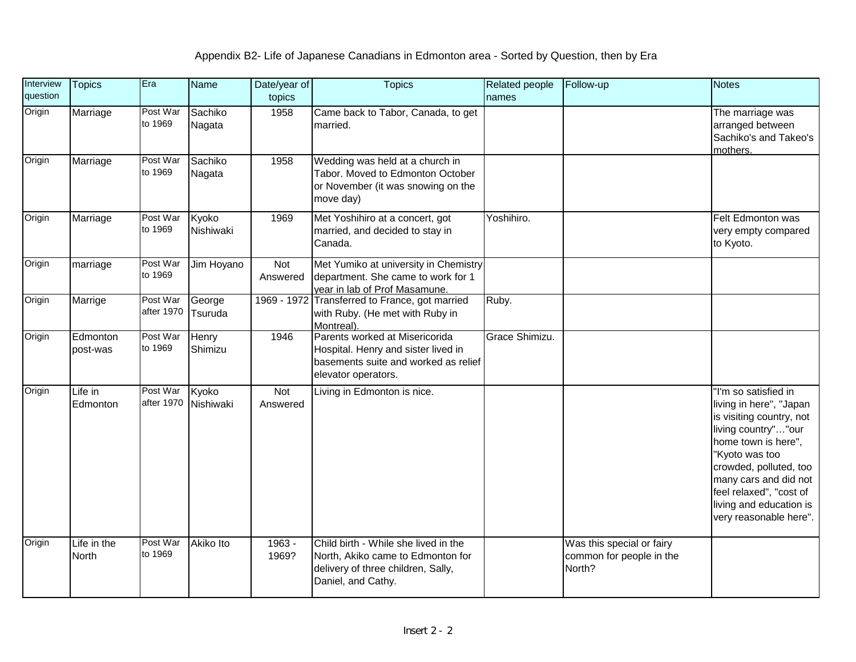| Interview<br>question | <b>Topics</b>        | Era                    | Name               | Date/year of<br>topics | <b>Topics</b>                                                                                                                         | Related people<br>names | Follow-up                                                       | <b>Notes</b>                                                                                                                                                                                                                                                                   |
|-----------------------|----------------------|------------------------|--------------------|------------------------|---------------------------------------------------------------------------------------------------------------------------------------|-------------------------|-----------------------------------------------------------------|--------------------------------------------------------------------------------------------------------------------------------------------------------------------------------------------------------------------------------------------------------------------------------|
| Origin                | Marriage             | Post War<br>to 1969    | Sachiko<br>Nagata  | 1958                   | Came back to Tabor, Canada, to get<br>married.                                                                                        |                         |                                                                 | The marriage was<br>arranged between<br>Sachiko's and Takeo's<br>mothers.                                                                                                                                                                                                      |
| Origin                | Marriage             | Post War<br>to 1969    | Sachiko<br>Nagata  | 1958                   | Wedding was held at a church in<br>Tabor. Moved to Edmonton October<br>or November (it was snowing on the<br>move day)                |                         |                                                                 |                                                                                                                                                                                                                                                                                |
| Origin                | Marriage             | Post War<br>to 1969    | Kyoko<br>Nishiwaki | 1969                   | Met Yoshihiro at a concert, got<br>married, and decided to stay in<br>Canada.                                                         | Yoshihiro.              |                                                                 | Felt Edmonton was<br>very empty compared<br>to Kyoto.                                                                                                                                                                                                                          |
| Origin                | marriage             | Post War<br>to 1969    | Jim Hoyano         | <b>Not</b><br>Answered | Met Yumiko at university in Chemistry<br>department. She came to work for 1<br>year in lab of Prof Masamune.                          |                         |                                                                 |                                                                                                                                                                                                                                                                                |
| Origin                | Marrige              | Post War<br>after 1970 | George<br>Tsuruda  |                        | 1969 - 1972 Transferred to France, got married<br>with Ruby. (He met with Ruby in<br>Montreal).                                       | Ruby.                   |                                                                 |                                                                                                                                                                                                                                                                                |
| Origin                | Edmonton<br>post-was | Post War<br>to 1969    | Henry<br>Shimizu   | 1946                   | Parents worked at Misericorida<br>Hospital. Henry and sister lived in<br>basements suite and worked as relief<br>elevator operators.  | Grace Shimizu.          |                                                                 |                                                                                                                                                                                                                                                                                |
| Origin                | Life in<br>Edmonton  | Post War<br>after 1970 | Kyoko<br>Nishiwaki | Not<br>Answered        | Living in Edmonton is nice.                                                                                                           |                         |                                                                 | 'I'm so satisfied in<br>living in here", "Japan<br>is visiting country, not<br>living country""our<br>home town is here",<br>"Kyoto was too<br>crowded, polluted, too<br>many cars and did not<br>feel relaxed", "cost of<br>living and education is<br>very reasonable here". |
| Origin                | Life in the<br>North | Post War<br>to 1969    | Akiko Ito          | 1963 -<br>1969?        | Child birth - While she lived in the<br>North, Akiko came to Edmonton for<br>delivery of three children, Sally,<br>Daniel, and Cathy. |                         | Was this special or fairy<br>common for people in the<br>North? |                                                                                                                                                                                                                                                                                |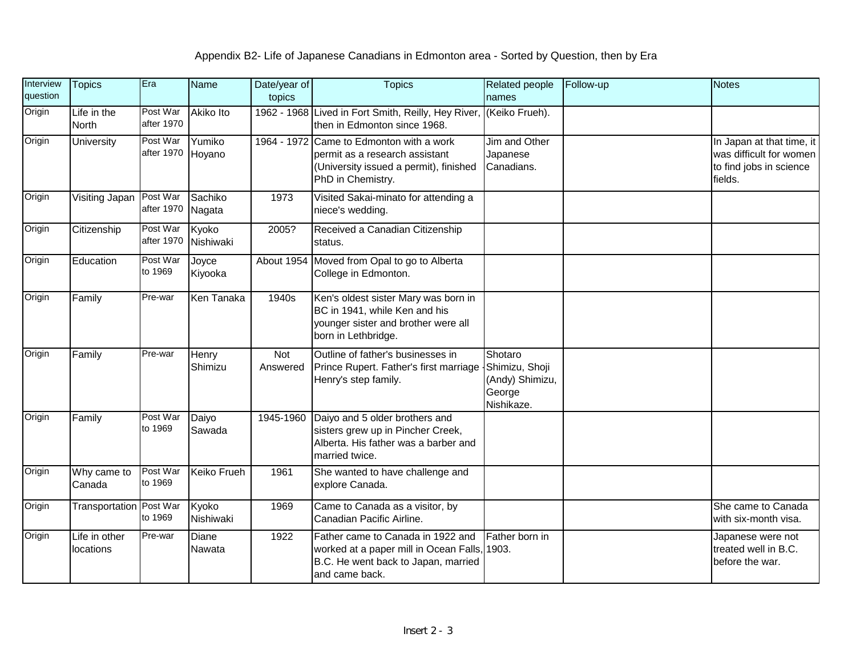| Interview<br>question | <b>Topics</b>                  | Era                    | Name               | Date/year of<br>topics | <b>Topics</b>                                                                                                                             | Related people<br>names                                              | Follow-up | <b>Notes</b>                                                                               |
|-----------------------|--------------------------------|------------------------|--------------------|------------------------|-------------------------------------------------------------------------------------------------------------------------------------------|----------------------------------------------------------------------|-----------|--------------------------------------------------------------------------------------------|
| Origin                | Life in the<br>North           | Post War<br>after 1970 | Akiko Ito          |                        | 1962 - 1968 Lived in Fort Smith, Reilly, Hey River,<br>then in Edmonton since 1968.                                                       | (Keiko Frueh).                                                       |           |                                                                                            |
| Origin                | University                     | Post War<br>after 1970 | Yumiko<br>Hoyano   |                        | 1964 - 1972 Came to Edmonton with a work<br>permit as a research assistant<br>(University issued a permit), finished<br>PhD in Chemistry. | Jim and Other<br>Japanese<br>Canadians.                              |           | In Japan at that time, it<br>was difficult for women<br>to find jobs in science<br>fields. |
| Origin                | Visiting Japan                 | Post War<br>after 1970 | Sachiko<br>Nagata  | 1973                   | Visited Sakai-minato for attending a<br>niece's wedding.                                                                                  |                                                                      |           |                                                                                            |
| Origin                | Citizenship                    | Post War<br>after 1970 | Kyoko<br>Nishiwaki | 2005?                  | Received a Canadian Citizenship<br>status.                                                                                                |                                                                      |           |                                                                                            |
| Origin                | Education                      | Post War<br>to 1969    | Joyce<br>Kiyooka   |                        | About 1954 Moved from Opal to go to Alberta<br>College in Edmonton.                                                                       |                                                                      |           |                                                                                            |
| Origin                | Family                         | Pre-war                | Ken Tanaka         | 1940s                  | Ken's oldest sister Mary was born in<br>BC in 1941, while Ken and his<br>younger sister and brother were all<br>born in Lethbridge.       |                                                                      |           |                                                                                            |
| Origin                | Family                         | Pre-war                | Henry<br>Shimizu   | Not<br>Answered        | Outline of father's businesses in<br>Prince Rupert. Father's first marriage<br>Henry's step family.                                       | Shotaro<br>Shimizu, Shoji<br>(Andy) Shimizu,<br>George<br>Nishikaze. |           |                                                                                            |
| Origin                | Family                         | Post War<br>to 1969    | Daiyo<br>Sawada    | 1945-1960              | Daiyo and 5 older brothers and<br>sisters grew up in Pincher Creek,<br>Alberta. His father was a barber and<br>married twice.             |                                                                      |           |                                                                                            |
| Origin                | Why came to<br>Canada          | Post War<br>to 1969    | <b>Keiko Frueh</b> | 1961                   | She wanted to have challenge and<br>explore Canada.                                                                                       |                                                                      |           |                                                                                            |
| Origin                | <b>Transportation Post War</b> | to 1969                | Kyoko<br>Nishiwaki | 1969                   | Came to Canada as a visitor, by<br>Canadian Pacific Airline.                                                                              |                                                                      |           | She came to Canada<br>with six-month visa.                                                 |
| Origin                | Life in other<br>locations     | Pre-war                | Diane<br>Nawata    | 1922                   | Father came to Canada in 1922 and<br>worked at a paper mill in Ocean Falls,<br>B.C. He went back to Japan, married<br>and came back.      | Father born in<br>1903.                                              |           | Japanese were not<br>treated well in B.C.<br>before the war.                               |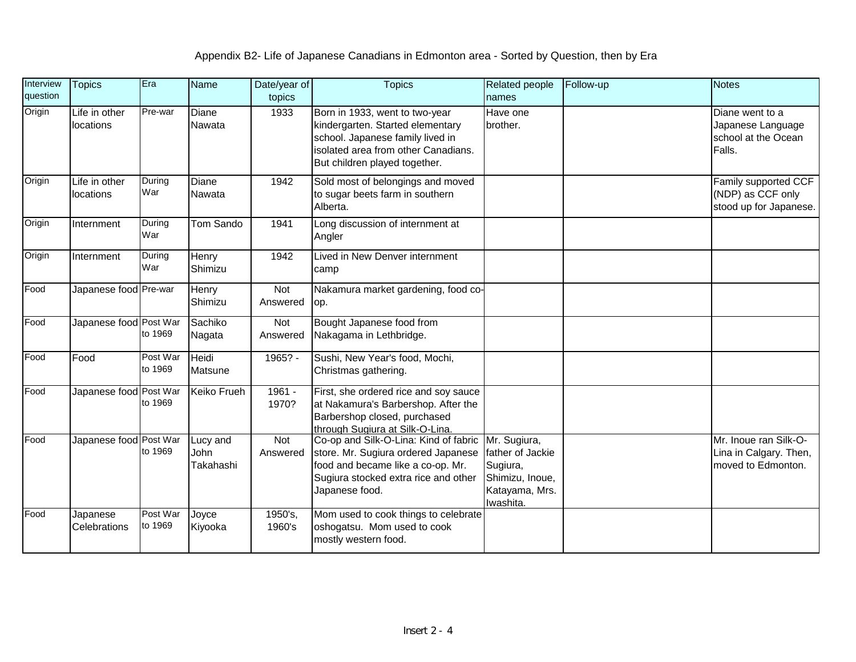| Interview<br>question | <b>Topics</b>              | Era                 | Name                          | Date/year of<br>topics | <b>Topics</b>                                                                                                                                                                  | <b>Related people</b><br>names                                                                 | Follow-up | <b>Notes</b>                                                          |
|-----------------------|----------------------------|---------------------|-------------------------------|------------------------|--------------------------------------------------------------------------------------------------------------------------------------------------------------------------------|------------------------------------------------------------------------------------------------|-----------|-----------------------------------------------------------------------|
| Origin                | Life in other<br>locations | Pre-war             | Diane<br><b>Nawata</b>        | 1933                   | Born in 1933, went to two-year<br>kindergarten. Started elementary<br>school. Japanese family lived in<br>isolated area from other Canadians.<br>But children played together. | Have one<br>brother.                                                                           |           | Diane went to a<br>Japanese Language<br>school at the Ocean<br>Falls. |
| Origin                | Life in other<br>locations | During<br>War       | Diane<br>Nawata               | 1942                   | Sold most of belongings and moved<br>to sugar beets farm in southern<br>Alberta.                                                                                               |                                                                                                |           | Family supported CCF<br>(NDP) as CCF only<br>stood up for Japanese.   |
| Origin                | Internment                 | During<br>War       | Tom Sando                     | 1941                   | Long discussion of internment at<br>Angler                                                                                                                                     |                                                                                                |           |                                                                       |
| Origin                | Internment                 | During<br>War       | Henry<br>Shimizu              | 1942                   | Lived in New Denver internment<br>camp                                                                                                                                         |                                                                                                |           |                                                                       |
| Food                  | Japanese food Pre-war      |                     | Henry<br>Shimizu              | Not<br>Answered        | Nakamura market gardening, food co-<br>op.                                                                                                                                     |                                                                                                |           |                                                                       |
| Food                  | Japanese food Post War     | to 1969             | Sachiko<br>Nagata             | Not<br>Answered        | Bought Japanese food from<br>Nakagama in Lethbridge.                                                                                                                           |                                                                                                |           |                                                                       |
| Food                  | Food                       | Post War<br>to 1969 | Heidi<br>Matsune              | 1965? -                | Sushi, New Year's food, Mochi,<br>Christmas gathering.                                                                                                                         |                                                                                                |           |                                                                       |
| Food                  | Japanese food Post War     | to 1969             | Keiko Frueh                   | 1961 -<br>1970?        | First, she ordered rice and soy sauce<br>at Nakamura's Barbershop. After the<br>Barbershop closed, purchased<br>through Sugiura at Silk-O-Lina.                                |                                                                                                |           |                                                                       |
| Food                  | Japanese food Post War     | to 1969             | Lucy and<br>John<br>Takahashi | Not<br>Answered        | Co-op and Silk-O-Lina: Kind of fabric<br>store. Mr. Sugiura ordered Japanese<br>food and became like a co-op. Mr.<br>Sugiura stocked extra rice and other<br>Japanese food.    | Mr. Sugiura,<br>father of Jackie<br>Sugiura,<br>Shimizu, Inoue,<br>Katayama, Mrs.<br>Iwashita. |           | Mr. Inoue ran Silk-O-<br>Lina in Calgary. Then,<br>moved to Edmonton. |
| Food                  | Japanese<br>Celebrations   | Post War<br>to 1969 | Joyce<br>Kiyooka              | 1950's,<br>1960's      | Mom used to cook things to celebrate<br>oshogatsu. Mom used to cook<br>mostly western food.                                                                                    |                                                                                                |           |                                                                       |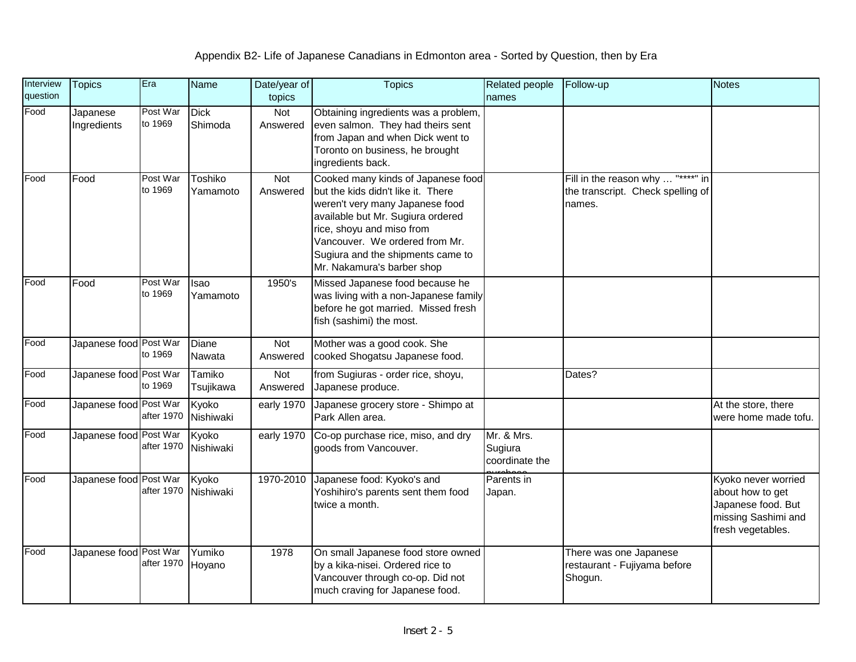| Interview<br>question | <b>Topics</b>           | Era                 | <b>Name</b>            | Date/year of<br>topics | <b>Topics</b>                                                                                                                                                                                                                                                                      | Related people<br>names                 | Follow-up                                                                        | <b>Notes</b>                                                                                              |
|-----------------------|-------------------------|---------------------|------------------------|------------------------|------------------------------------------------------------------------------------------------------------------------------------------------------------------------------------------------------------------------------------------------------------------------------------|-----------------------------------------|----------------------------------------------------------------------------------|-----------------------------------------------------------------------------------------------------------|
| Food                  | Japanese<br>Ingredients | Post War<br>to 1969 | <b>Dick</b><br>Shimoda | Not<br>Answered        | Obtaining ingredients was a problem,<br>even salmon. They had theirs sent<br>from Japan and when Dick went to<br>Toronto on business, he brought<br>ingredients back.                                                                                                              |                                         |                                                                                  |                                                                                                           |
| Food                  | Food                    | Post War<br>to 1969 | Toshiko<br>Yamamoto    | Not<br>Answered        | Cooked many kinds of Japanese food<br>but the kids didn't like it. There<br>weren't very many Japanese food<br>available but Mr. Sugiura ordered<br>rice, shoyu and miso from<br>Vancouver. We ordered from Mr.<br>Sugiura and the shipments came to<br>Mr. Nakamura's barber shop |                                         | Fill in the reason why  "****" in<br>the transcript. Check spelling of<br>names. |                                                                                                           |
| Food                  | Food                    | Post War<br>to 1969 | Isao<br>Yamamoto       | 1950's                 | Missed Japanese food because he<br>was living with a non-Japanese family<br>before he got married. Missed fresh<br>fish (sashimi) the most.                                                                                                                                        |                                         |                                                                                  |                                                                                                           |
| Food                  | Japanese food Post War  | to 1969             | Diane<br>Nawata        | Not<br>Answered        | Mother was a good cook. She<br>cooked Shogatsu Japanese food.                                                                                                                                                                                                                      |                                         |                                                                                  |                                                                                                           |
| Food                  | Japanese food Post War  | to 1969             | Tamiko<br>Tsujikawa    | Not<br>Answered        | from Sugiuras - order rice, shoyu,<br>Japanese produce.                                                                                                                                                                                                                            |                                         | Dates?                                                                           |                                                                                                           |
| Food                  | Japanese food Post War  | after 1970          | Kyoko<br>Nishiwaki     | early 1970             | Japanese grocery store - Shimpo at<br>Park Allen area.                                                                                                                                                                                                                             |                                         |                                                                                  | At the store, there<br>were home made tofu.                                                               |
| Food                  | Japanese food Post War  | after 1970          | Kyoko<br>Nishiwaki     | early 1970             | Co-op purchase rice, miso, and dry<br>goods from Vancouver.                                                                                                                                                                                                                        | Mr. & Mrs.<br>Sugiura<br>coordinate the |                                                                                  |                                                                                                           |
| Food                  | Japanese food Post War  | after 1970          | Kyoko<br>Nishiwaki     | 1970-2010              | Japanese food: Kyoko's and<br>Yoshihiro's parents sent them food<br>twice a month.                                                                                                                                                                                                 | Parents in<br>Japan.                    |                                                                                  | Kyoko never worried<br>about how to get<br>Japanese food. But<br>missing Sashimi and<br>fresh vegetables. |
| Food                  | Japanese food Post War  | after 1970          | Yumiko<br>Hoyano       | 1978                   | On small Japanese food store owned<br>by a kika-nisei. Ordered rice to<br>Vancouver through co-op. Did not<br>much craving for Japanese food.                                                                                                                                      |                                         | There was one Japanese<br>restaurant - Fujiyama before<br>Shogun.                |                                                                                                           |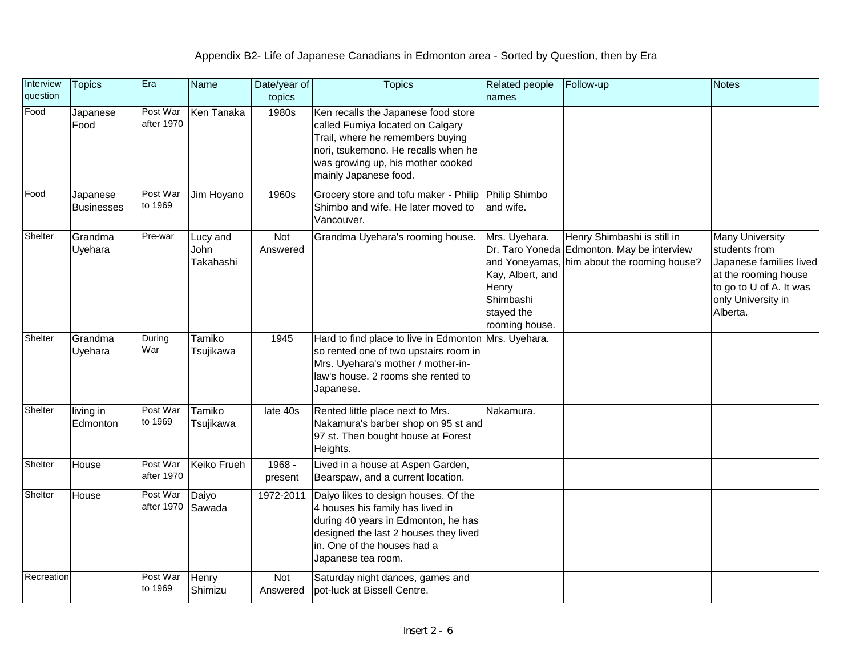| Interview<br>question | <b>Topics</b>                 | Era                    | <b>Name</b>                   | Date/year of<br>topics | <b>Topics</b>                                                                                                                                                                                                    | <b>Related people</b><br>names                                                          | Follow-up                                                                                                                | Notes                                                                                                                                                   |
|-----------------------|-------------------------------|------------------------|-------------------------------|------------------------|------------------------------------------------------------------------------------------------------------------------------------------------------------------------------------------------------------------|-----------------------------------------------------------------------------------------|--------------------------------------------------------------------------------------------------------------------------|---------------------------------------------------------------------------------------------------------------------------------------------------------|
| Food                  | Japanese<br>Food              | Post War<br>after 1970 | Ken Tanaka                    | 1980s                  | Ken recalls the Japanese food store<br>called Fumiya located on Calgary<br>Trail, where he remembers buying<br>nori, tsukemono. He recalls when he<br>was growing up, his mother cooked<br>mainly Japanese food. |                                                                                         |                                                                                                                          |                                                                                                                                                         |
| Food                  | Japanese<br><b>Businesses</b> | Post War<br>to 1969    | Jim Hoyano                    | 1960s                  | Grocery store and tofu maker - Philip<br>Shimbo and wife. He later moved to<br>Vancouver.                                                                                                                        | <b>Philip Shimbo</b><br>and wife.                                                       |                                                                                                                          |                                                                                                                                                         |
| Shelter               | Grandma<br>Uyehara            | Pre-war                | Lucy and<br>John<br>Takahashi | Not<br>Answered        | Grandma Uyehara's rooming house.                                                                                                                                                                                 | Mrs. Uyehara.<br>Kay, Albert, and<br>Henry<br>Shimbashi<br>stayed the<br>rooming house. | Henry Shimbashi is still in<br>Dr. Taro Yoneda Edmonton. May be interview<br>and Yoneyamas, him about the rooming house? | <b>Many University</b><br>students from<br>Japanese families lived<br>at the rooming house<br>to go to U of A. It was<br>only University in<br>Alberta. |
| Shelter               | Grandma<br>Uyehara            | During<br>War          | Tamiko<br>Tsujikawa           | 1945                   | Hard to find place to live in Edmonton<br>so rented one of two upstairs room in<br>Mrs. Uyehara's mother / mother-in-<br>law's house. 2 rooms she rented to<br>Japanese.                                         | Mrs. Uyehara.                                                                           |                                                                                                                          |                                                                                                                                                         |
| Shelter               | living in<br>Edmonton         | Post War<br>to 1969    | Tamiko<br>Tsujikawa           | late 40s               | Rented little place next to Mrs.<br>Nakamura's barber shop on 95 st and<br>97 st. Then bought house at Forest<br>Heights.                                                                                        | Nakamura.                                                                               |                                                                                                                          |                                                                                                                                                         |
| Shelter               | House                         | Post War<br>after 1970 | <b>Keiko Frueh</b>            | 1968 -<br>present      | Lived in a house at Aspen Garden,<br>Bearspaw, and a current location.                                                                                                                                           |                                                                                         |                                                                                                                          |                                                                                                                                                         |
| Shelter               | House                         | Post War<br>after 1970 | Daiyo<br>Sawada               | 1972-2011              | Daiyo likes to design houses. Of the<br>4 houses his family has lived in<br>during 40 years in Edmonton, he has<br>designed the last 2 houses they lived<br>in. One of the houses had a<br>Japanese tea room.    |                                                                                         |                                                                                                                          |                                                                                                                                                         |
| Recreation            |                               | Post War<br>to 1969    | Henry<br>Shimizu              | Not<br>Answered        | Saturday night dances, games and<br>pot-luck at Bissell Centre.                                                                                                                                                  |                                                                                         |                                                                                                                          |                                                                                                                                                         |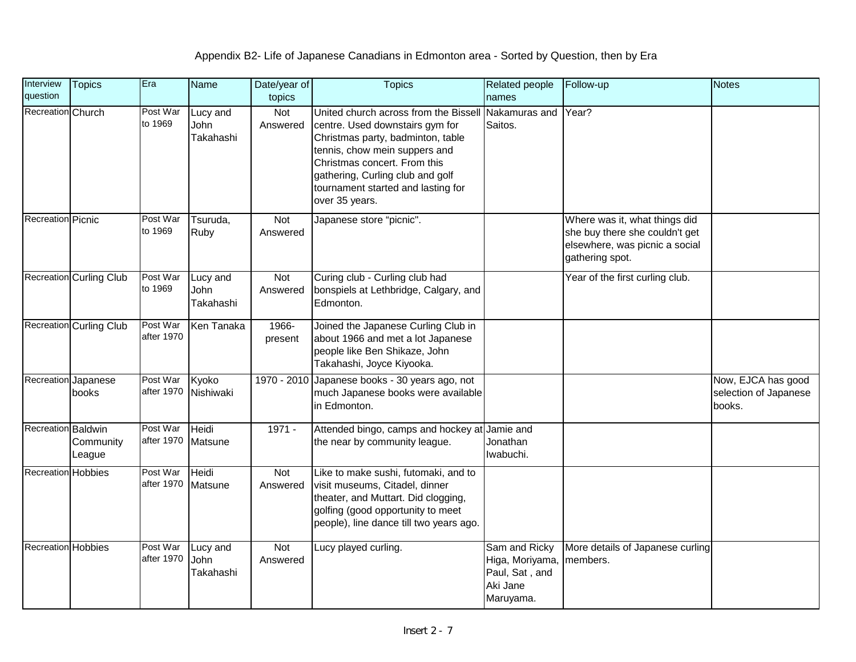| Interview<br>question | <b>Topics</b>                  | Era                    | Name                          | Date/year of<br>topics | <b>Topics</b>                                                                                                                                                                                                                                                                            | <b>Related people</b><br>names                                              | Follow-up                                                                                                            | <b>Notes</b>                                          |
|-----------------------|--------------------------------|------------------------|-------------------------------|------------------------|------------------------------------------------------------------------------------------------------------------------------------------------------------------------------------------------------------------------------------------------------------------------------------------|-----------------------------------------------------------------------------|----------------------------------------------------------------------------------------------------------------------|-------------------------------------------------------|
| Recreation Church     |                                | Post War<br>to 1969    | Lucy and<br>John<br>Takahashi | Not<br>Answered        | United church across from the Bissell Nakamuras and<br>centre. Used downstairs gym for<br>Christmas party, badminton, table<br>tennis, chow mein suppers and<br>Christmas concert. From this<br>gathering, Curling club and golf<br>tournament started and lasting for<br>over 35 years. | Saitos.                                                                     | Year?                                                                                                                |                                                       |
| Recreation Picnic     |                                | Post War<br>to 1969    | Tsuruda,<br>Ruby              | Not<br>Answered        | Japanese store "picnic".                                                                                                                                                                                                                                                                 |                                                                             | Where was it, what things did<br>she buy there she couldn't get<br>elsewhere, was picnic a social<br>gathering spot. |                                                       |
|                       | <b>Recreation Curling Club</b> | Post War<br>to 1969    | Lucy and<br>John<br>Takahashi | Not<br>Answered        | Curing club - Curling club had<br>bonspiels at Lethbridge, Calgary, and<br>Edmonton.                                                                                                                                                                                                     |                                                                             | Year of the first curling club.                                                                                      |                                                       |
|                       | <b>Recreation Curling Club</b> | Post War<br>after 1970 | Ken Tanaka                    | 1966-<br>present       | Joined the Japanese Curling Club in<br>about 1966 and met a lot Japanese<br>people like Ben Shikaze, John<br>Takahashi, Joyce Kiyooka.                                                                                                                                                   |                                                                             |                                                                                                                      |                                                       |
| Recreation Japanese   | books                          | Post War<br>after 1970 | Kyoko<br>Nishiwaki            |                        | 1970 - 2010 Japanese books - 30 years ago, not<br>much Japanese books were available<br>in Edmonton.                                                                                                                                                                                     |                                                                             |                                                                                                                      | Now, EJCA has good<br>selection of Japanese<br>books. |
| Recreation Baldwin    | Community<br>League            | Post War<br>after 1970 | Heidi<br>Matsune              | $1971 -$               | Attended bingo, camps and hockey at Jamie and<br>the near by community league.                                                                                                                                                                                                           | Jonathan<br>Iwabuchi.                                                       |                                                                                                                      |                                                       |
| Recreation Hobbies    |                                | Post War<br>after 1970 | Heidi<br>Matsune              | Not<br>Answered        | Like to make sushi, futomaki, and to<br>visit museums, Citadel, dinner<br>theater, and Muttart. Did clogging,<br>golfing (good opportunity to meet<br>people), line dance till two years ago.                                                                                            |                                                                             |                                                                                                                      |                                                       |
| Recreation Hobbies    |                                | Post War<br>after 1970 | Lucy and<br>John<br>Takahashi | Not<br>Answered        | Lucy played curling.                                                                                                                                                                                                                                                                     | Sam and Ricky<br>Higa, Moriyama,<br>Paul, Sat, and<br>Aki Jane<br>Maruyama. | More details of Japanese curling<br>members.                                                                         |                                                       |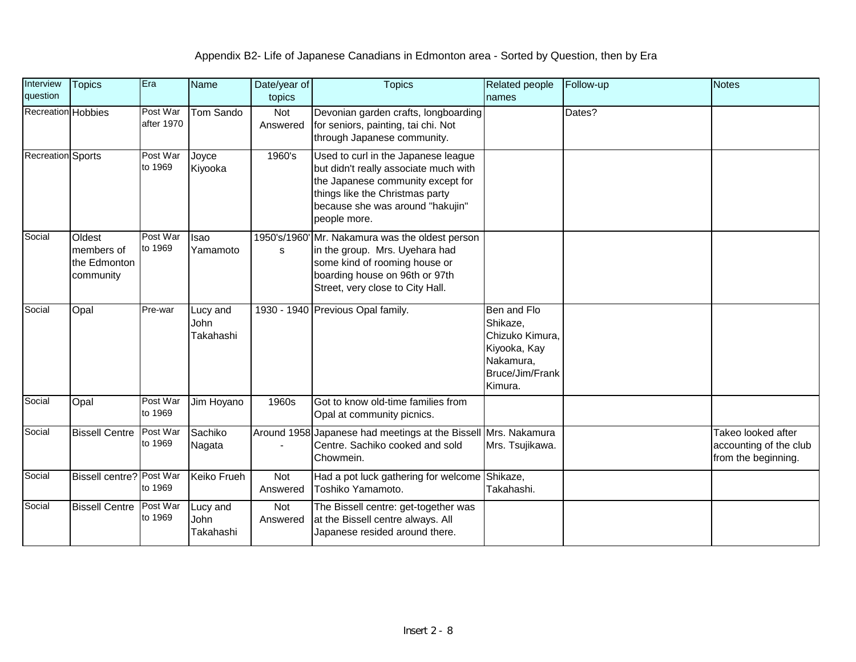| Interview<br>question | <b>Topics</b>                                     | Era                    | <b>Name</b>                   | Date/year of<br>topics | <b>Topics</b>                                                                                                                                                                                            | Related people<br>names                                                                               | Follow-up | <b>Notes</b>                                                        |
|-----------------------|---------------------------------------------------|------------------------|-------------------------------|------------------------|----------------------------------------------------------------------------------------------------------------------------------------------------------------------------------------------------------|-------------------------------------------------------------------------------------------------------|-----------|---------------------------------------------------------------------|
| Recreation Hobbies    |                                                   | Post War<br>after 1970 | Tom Sando                     | Not<br>Answered        | Devonian garden crafts, longboarding<br>for seniors, painting, tai chi. Not<br>through Japanese community.                                                                                               |                                                                                                       | Dates?    |                                                                     |
| Recreation Sports     |                                                   | Post War<br>to 1969    | Joyce<br>Kiyooka              | 1960's                 | Used to curl in the Japanese league<br>but didn't really associate much with<br>the Japanese community except for<br>things like the Christmas party<br>because she was around "hakujin"<br>people more. |                                                                                                       |           |                                                                     |
| Social                | Oldest<br>members of<br>the Edmonton<br>community | Post War<br>to 1969    | Isao<br>Yamamoto              | s                      | 1950's/1960' Mr. Nakamura was the oldest person<br>in the group. Mrs. Uyehara had<br>some kind of rooming house or<br>boarding house on 96th or 97th<br>Street, very close to City Hall.                 |                                                                                                       |           |                                                                     |
| Social                | Opal                                              | Pre-war                | Lucy and<br>John<br>Takahashi |                        | 1930 - 1940 Previous Opal family.                                                                                                                                                                        | Ben and Flo<br>Shikaze,<br>Chizuko Kimura,<br>Kiyooka, Kay<br>Nakamura,<br>Bruce/Jim/Frank<br>Kimura. |           |                                                                     |
| Social                | Opal                                              | Post War<br>to 1969    | Jim Hoyano                    | 1960s                  | Got to know old-time families from<br>Opal at community picnics.                                                                                                                                         |                                                                                                       |           |                                                                     |
| Social                | <b>Bissell Centre</b>                             | Post War<br>to 1969    | Sachiko<br>Nagata             |                        | Around 1958 Japanese had meetings at the Bissell Mrs. Nakamura<br>Centre. Sachiko cooked and sold<br>Chowmein.                                                                                           | Mrs. Tsujikawa.                                                                                       |           | Takeo looked after<br>accounting of the club<br>from the beginning. |
| Social                | <b>Bissell centre? Post War</b>                   | to 1969                | Keiko Frueh                   | Not<br>Answered        | Had a pot luck gathering for welcome Shikaze,<br>Toshiko Yamamoto.                                                                                                                                       | Takahashi.                                                                                            |           |                                                                     |
| Social                | <b>Bissell Centre</b>                             | Post War<br>to 1969    | Lucy and<br>John<br>Takahashi | Not<br>Answered        | The Bissell centre: get-together was<br>at the Bissell centre always. All<br>Japanese resided around there.                                                                                              |                                                                                                       |           |                                                                     |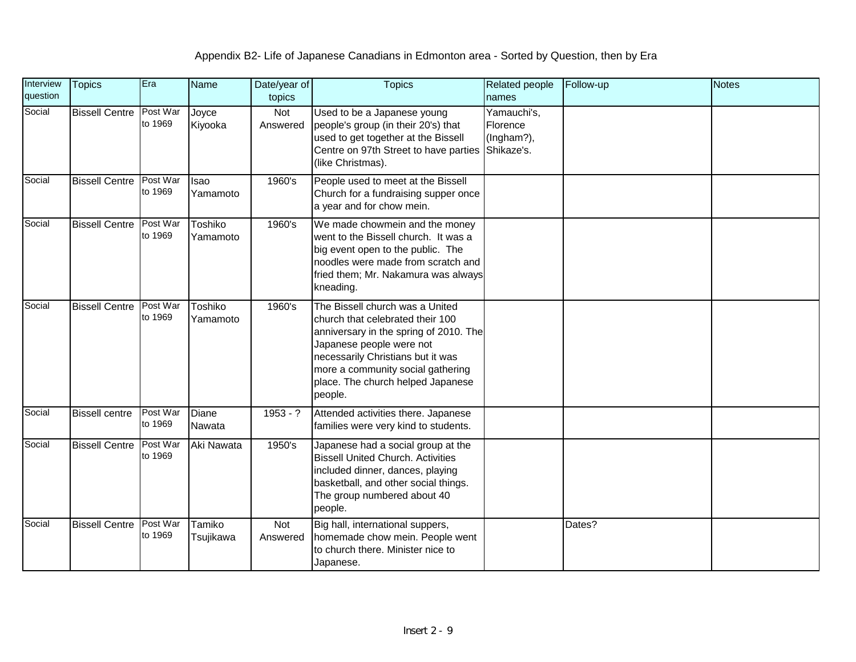| Interview<br>question | <b>Topics</b>         | Era                 | Name                    | Date/year of<br>topics | <b>Topics</b>                                                                                                                                                                                                                                                       | <b>Related people</b><br>names                      | Follow-up | <b>Notes</b> |
|-----------------------|-----------------------|---------------------|-------------------------|------------------------|---------------------------------------------------------------------------------------------------------------------------------------------------------------------------------------------------------------------------------------------------------------------|-----------------------------------------------------|-----------|--------------|
| Social                | <b>Bissell Centre</b> | Post War<br>to 1969 | Joyce<br>Kiyooka        | Not<br>Answered        | Used to be a Japanese young<br>people's group (in their 20's) that<br>used to get together at the Bissell<br>Centre on 97th Street to have parties<br>(like Christmas).                                                                                             | Yamauchi's,<br>Florence<br>(Ingham?),<br>Shikaze's. |           |              |
| Social                | <b>Bissell Centre</b> | Post War<br>to 1969 | <b>Isao</b><br>Yamamoto | 1960's                 | People used to meet at the Bissell<br>Church for a fundraising supper once<br>a year and for chow mein.                                                                                                                                                             |                                                     |           |              |
| Social                | <b>Bissell Centre</b> | Post War<br>to 1969 | Toshiko<br>Yamamoto     | 1960's                 | We made chowmein and the money<br>went to the Bissell church. It was a<br>big event open to the public. The<br>noodles were made from scratch and<br>fried them; Mr. Nakamura was always<br>kneading.                                                               |                                                     |           |              |
| Social                | <b>Bissell Centre</b> | Post War<br>to 1969 | Toshiko<br>Yamamoto     | 1960's                 | The Bissell church was a United<br>church that celebrated their 100<br>anniversary in the spring of 2010. The<br>Japanese people were not<br>necessarily Christians but it was<br>more a community social gathering<br>place. The church helped Japanese<br>people. |                                                     |           |              |
| Social                | <b>Bissell centre</b> | Post War<br>to 1969 | Diane<br>Nawata         | $1953 - ?$             | Attended activities there. Japanese<br>families were very kind to students.                                                                                                                                                                                         |                                                     |           |              |
| Social                | <b>Bissell Centre</b> | Post War<br>to 1969 | Aki Nawata              | 1950's                 | Japanese had a social group at the<br><b>Bissell United Church. Activities</b><br>included dinner, dances, playing<br>basketball, and other social things.<br>The group numbered about 40<br>people.                                                                |                                                     |           |              |
| Social                | <b>Bissell Centre</b> | Post War<br>to 1969 | Tamiko<br>Tsujikawa     | Not<br>Answered        | Big hall, international suppers,<br>homemade chow mein. People went<br>to church there. Minister nice to<br>Japanese.                                                                                                                                               |                                                     | Dates?    |              |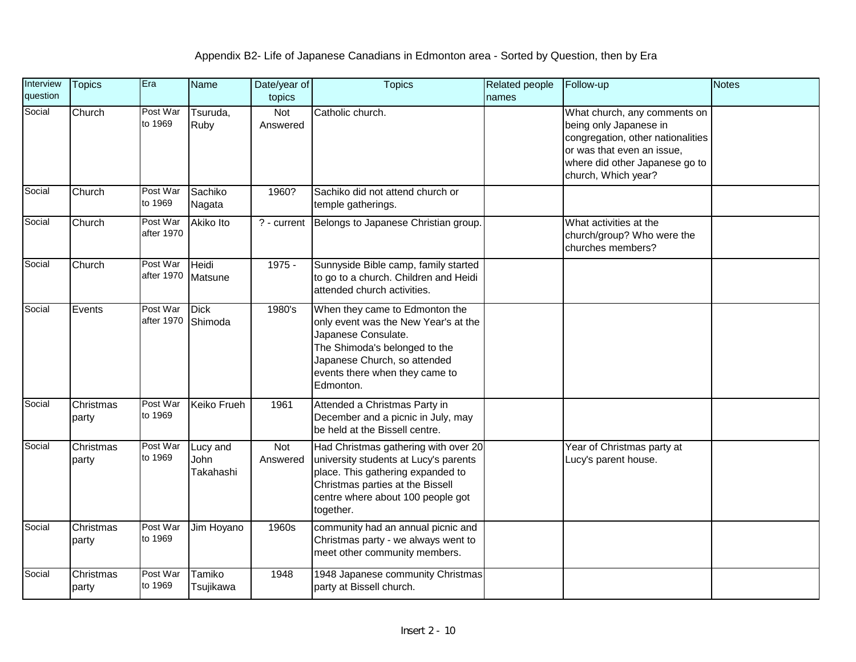| Interview<br>question | <b>Topics</b>      | Era                    | <b>Name</b>                   | Date/year of<br>topics | <b>Topics</b>                                                                                                                                                                                                 | Related people<br>names | Follow-up                                                                                                                                                                          | <b>Notes</b> |
|-----------------------|--------------------|------------------------|-------------------------------|------------------------|---------------------------------------------------------------------------------------------------------------------------------------------------------------------------------------------------------------|-------------------------|------------------------------------------------------------------------------------------------------------------------------------------------------------------------------------|--------------|
| Social                | Church             | Post War<br>to 1969    | Tsuruda,<br>Ruby              | Not<br>Answered        | Catholic church.                                                                                                                                                                                              |                         | What church, any comments on<br>being only Japanese in<br>congregation, other nationalities<br>or was that even an issue,<br>where did other Japanese go to<br>church, Which year? |              |
| Social                | Church             | Post War<br>to 1969    | Sachiko<br>Nagata             | 1960?                  | Sachiko did not attend church or<br>temple gatherings.                                                                                                                                                        |                         |                                                                                                                                                                                    |              |
| Social                | Church             | Post War<br>after 1970 | Akiko Ito                     | ? - current            | Belongs to Japanese Christian group.                                                                                                                                                                          |                         | What activities at the<br>church/group? Who were the<br>churches members?                                                                                                          |              |
| Social                | Church             | Post War<br>after 1970 | Heidi<br>Matsune              | $1975 -$               | Sunnyside Bible camp, family started<br>to go to a church. Children and Heidi<br>attended church activities.                                                                                                  |                         |                                                                                                                                                                                    |              |
| Social                | Events             | Post War<br>after 1970 | <b>Dick</b><br>Shimoda        | 1980's                 | When they came to Edmonton the<br>only event was the New Year's at the<br>Japanese Consulate.<br>The Shimoda's belonged to the<br>Japanese Church, so attended<br>events there when they came to<br>Edmonton. |                         |                                                                                                                                                                                    |              |
| Social                | Christmas<br>party | Post War<br>to 1969    | <b>Keiko Frueh</b>            | 1961                   | Attended a Christmas Party in<br>December and a picnic in July, may<br>be held at the Bissell centre.                                                                                                         |                         |                                                                                                                                                                                    |              |
| Social                | Christmas<br>party | Post War<br>to 1969    | Lucy and<br>John<br>Takahashi | Not<br>Answered        | Had Christmas gathering with over 20<br>university students at Lucy's parents<br>place. This gathering expanded to<br>Christmas parties at the Bissell<br>centre where about 100 people got<br>together.      |                         | Year of Christmas party at<br>Lucy's parent house.                                                                                                                                 |              |
| Social                | Christmas<br>party | Post War<br>to 1969    | Jim Hoyano                    | 1960s                  | community had an annual picnic and<br>Christmas party - we always went to<br>meet other community members.                                                                                                    |                         |                                                                                                                                                                                    |              |
| Social                | Christmas<br>party | Post War<br>to 1969    | Tamiko<br>Tsujikawa           | 1948                   | 1948 Japanese community Christmas<br>party at Bissell church.                                                                                                                                                 |                         |                                                                                                                                                                                    |              |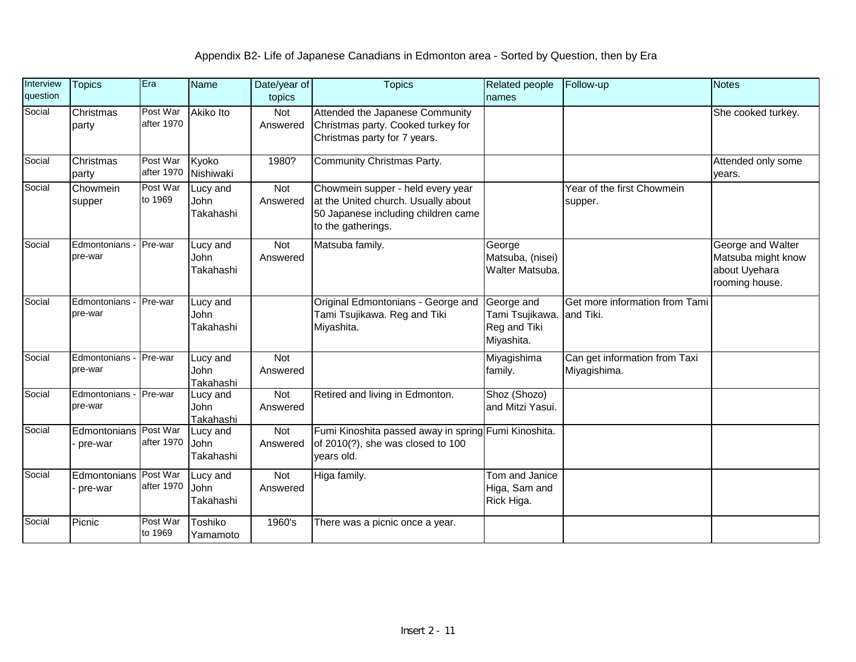| Interview<br>question | <b>Topics</b>                     | Era                    | <b>Name</b>                          | Date/year of<br>topics | <b>Topics</b>                                                                                                                         | Related people<br>names                                    | Follow-up                                     | <b>Notes</b>                                                               |
|-----------------------|-----------------------------------|------------------------|--------------------------------------|------------------------|---------------------------------------------------------------------------------------------------------------------------------------|------------------------------------------------------------|-----------------------------------------------|----------------------------------------------------------------------------|
| Social                | Christmas<br>party                | Post War<br>after 1970 | Akiko Ito                            | Not<br>Answered        | Attended the Japanese Community<br>Christmas party. Cooked turkey for<br>Christmas party for 7 years.                                 |                                                            |                                               | She cooked turkey.                                                         |
| Social                | Christmas<br>party                | Post War<br>after 1970 | Kyoko<br>Nishiwaki                   | 1980?                  | Community Christmas Party.                                                                                                            |                                                            |                                               | Attended only some<br>years.                                               |
| Social                | Chowmein<br>supper                | Post War<br>to 1969    | Lucy and<br>John<br>Takahashi        | Not<br>Answered        | Chowmein supper - held every year<br>at the United church. Usually about<br>50 Japanese including children came<br>to the gatherings. |                                                            | Year of the first Chowmein<br>supper.         |                                                                            |
| Social                | Edmontonians - Pre-war<br>pre-war |                        | Lucy and<br>John<br>Takahashi        | Not<br>Answered        | Matsuba family.                                                                                                                       | George<br>Matsuba, (nisei)<br>Walter Matsuba.              |                                               | George and Walter<br>Matsuba might know<br>about Uyehara<br>rooming house. |
| Social                | Edmontonians<br>pre-war           | Pre-war                | Lucy and<br>John<br>Takahashi        |                        | Original Edmontonians - George and<br>Tami Tsujikawa. Reg and Tiki<br>Miyashita.                                                      | George and<br>Tami Tsujikawa<br>Reg and Tiki<br>Miyashita. | Get more information from Tami<br>and Tiki.   |                                                                            |
| Social                | Edmontonians - Pre-war<br>pre-war |                        | Lucy and<br>John<br><b>Takahashi</b> | Not<br>Answered        |                                                                                                                                       | Miyagishima<br>family.                                     | Can get information from Taxi<br>Miyagishima. |                                                                            |
| Social                | Edmontonians - Pre-war<br>pre-war |                        | Lucy and<br>John<br>Takahashi        | <b>Not</b><br>Answered | Retired and living in Edmonton.                                                                                                       | Shoz (Shozo)<br>and Mitzi Yasui.                           |                                               |                                                                            |
| Social                | Edmontonians Post War<br>pre-war  | after 1970             | Lucy and<br>John<br>Takahashi        | Not<br>Answered        | Fumi Kinoshita passed away in spring Fumi Kinoshita.<br>of 2010(?), she was closed to 100<br>years old.                               |                                                            |                                               |                                                                            |
| Social                | Edmontonians Post War<br>pre-war  | after 1970             | Lucy and<br>John<br>Takahashi        | Not<br>Answered        | Higa family.                                                                                                                          | Tom and Janice<br>Higa, Sam and<br>Rick Higa.              |                                               |                                                                            |
| Social                | Picnic                            | Post War<br>to 1969    | Toshiko<br>Yamamoto                  | 1960's                 | There was a picnic once a year.                                                                                                       |                                                            |                                               |                                                                            |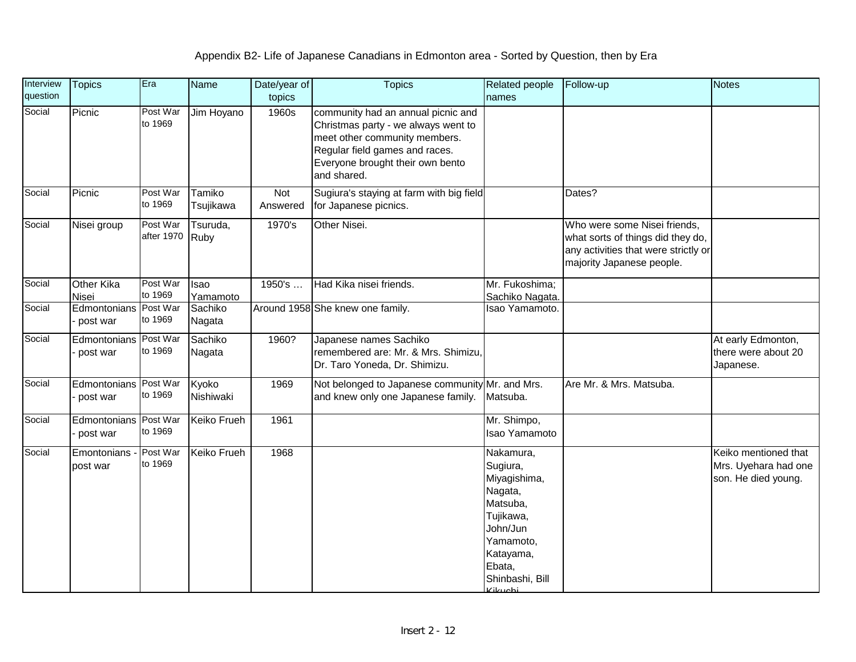| Interview<br>question | <b>Topics</b>                            | Era                    | Name                | Date/year of<br>topics | <b>Topics</b>                                                                                                                                                                                   | Related people<br>names                                                                                                                                 | Follow-up                                                                                                                              | <b>Notes</b>                                                        |
|-----------------------|------------------------------------------|------------------------|---------------------|------------------------|-------------------------------------------------------------------------------------------------------------------------------------------------------------------------------------------------|---------------------------------------------------------------------------------------------------------------------------------------------------------|----------------------------------------------------------------------------------------------------------------------------------------|---------------------------------------------------------------------|
| Social                | Picnic                                   | Post War<br>to 1969    | Jim Hoyano          | 1960s                  | community had an annual picnic and<br>Christmas party - we always went to<br>meet other community members.<br>Regular field games and races.<br>Everyone brought their own bento<br>and shared. |                                                                                                                                                         |                                                                                                                                        |                                                                     |
| Social                | Picnic                                   | Post War<br>to 1969    | Tamiko<br>Tsujikawa | Not<br>Answered        | Sugiura's staying at farm with big field<br>for Japanese picnics.                                                                                                                               |                                                                                                                                                         | Dates?                                                                                                                                 |                                                                     |
| Social                | Nisei group                              | Post War<br>after 1970 | Tsuruda,<br>Ruby    | 1970's                 | Other Nisei.                                                                                                                                                                                    |                                                                                                                                                         | Who were some Nisei friends,<br>what sorts of things did they do,<br>any activities that were strictly or<br>majority Japanese people. |                                                                     |
| Social                | <b>Other Kika</b><br><b>Nisei</b>        | Post War<br>to 1969    | Isao<br>Yamamoto    | 1950's                 | Had Kika nisei friends.                                                                                                                                                                         | Mr. Fukoshima;<br>Sachiko Nagata.                                                                                                                       |                                                                                                                                        |                                                                     |
| Social                | Edmontonians Post War<br>post war        | to 1969                | Sachiko<br>Nagata   |                        | Around 1958 She knew one family.                                                                                                                                                                | Isao Yamamoto.                                                                                                                                          |                                                                                                                                        |                                                                     |
| Social                | Edmontonians Post War<br>post war        | to 1969                | Sachiko<br>Nagata   | 1960?                  | Japanese names Sachiko<br>remembered are: Mr. & Mrs. Shimizu.<br>Dr. Taro Yoneda, Dr. Shimizu.                                                                                                  |                                                                                                                                                         |                                                                                                                                        | At early Edmonton,<br>there were about 20<br>Japanese.              |
| Social                | Edmontonians Post War<br>post war        | to 1969                | Kyoko<br>Nishiwaki  | 1969                   | Not belonged to Japanese community Mr. and Mrs.<br>and knew only one Japanese family.                                                                                                           | Matsuba.                                                                                                                                                | Are Mr. & Mrs. Matsuba.                                                                                                                |                                                                     |
| Social                | <b>Edmontonians</b> Post War<br>post war | to 1969                | <b>Keiko Frueh</b>  | 1961                   |                                                                                                                                                                                                 | Mr. Shimpo,<br>Isao Yamamoto                                                                                                                            |                                                                                                                                        |                                                                     |
| Social                | Emontonians - Post War<br>post war       | to 1969                | <b>Keiko Frueh</b>  | 1968                   |                                                                                                                                                                                                 | Nakamura,<br>Sugiura,<br>Miyagishima,<br>Nagata,<br>Matsuba,<br>Tujikawa,<br>John/Jun<br>Yamamoto,<br>Katayama,<br>Ebata,<br>Shinbashi, Bill<br>Kikuobi |                                                                                                                                        | Keiko mentioned that<br>Mrs. Uyehara had one<br>son. He died young. |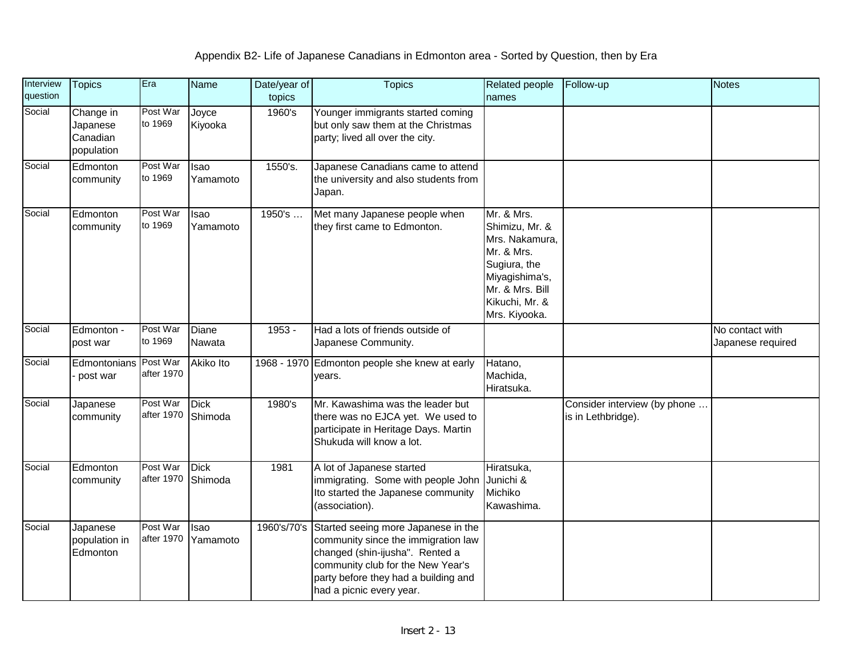| Interview<br>question | <b>Topics</b>                                   | Era                    | Name                   | Date/year of<br>topics | <b>Topics</b>                                                                                                                                                                                                          | Related people<br>names                                                                                                                              | Follow-up                                          | Notes                                |
|-----------------------|-------------------------------------------------|------------------------|------------------------|------------------------|------------------------------------------------------------------------------------------------------------------------------------------------------------------------------------------------------------------------|------------------------------------------------------------------------------------------------------------------------------------------------------|----------------------------------------------------|--------------------------------------|
| Social                | Change in<br>Japanese<br>Canadian<br>population | Post War<br>to 1969    | Joyce<br>Kiyooka       | 1960's                 | Younger immigrants started coming<br>but only saw them at the Christmas<br>party; lived all over the city.                                                                                                             |                                                                                                                                                      |                                                    |                                      |
| Social                | Edmonton<br>community                           | Post War<br>to 1969    | Isao<br>Yamamoto       | 1550's.                | Japanese Canadians came to attend<br>the university and also students from<br>Japan.                                                                                                                                   |                                                                                                                                                      |                                                    |                                      |
| Social                | Edmonton<br>community                           | Post War<br>to 1969    | Isao<br>Yamamoto       | 1950's                 | Met many Japanese people when<br>they first came to Edmonton.                                                                                                                                                          | Mr. & Mrs.<br>Shimizu, Mr. &<br>Mrs. Nakamura,<br>Mr. & Mrs.<br>Sugiura, the<br>Miyagishima's,<br>Mr. & Mrs. Bill<br>Kikuchi, Mr. &<br>Mrs. Kiyooka. |                                                    |                                      |
| Social                | Edmonton -<br>post war                          | Post War<br>to 1969    | Diane<br>Nawata        | $1953 -$               | Had a lots of friends outside of<br>Japanese Community.                                                                                                                                                                |                                                                                                                                                      |                                                    | No contact with<br>Japanese required |
| Social                | Edmontonians Post War<br>post war               | after 1970             | Akiko Ito              |                        | 1968 - 1970 Edmonton people she knew at early<br>years.                                                                                                                                                                | Hatano,<br>Machida,<br>Hiratsuka.                                                                                                                    |                                                    |                                      |
| Social                | Japanese<br>community                           | Post War<br>after 1970 | <b>Dick</b><br>Shimoda | 1980's                 | Mr. Kawashima was the leader but<br>there was no EJCA yet. We used to<br>participate in Heritage Days. Martin<br>Shukuda will know a lot.                                                                              |                                                                                                                                                      | Consider interview (by phone<br>is in Lethbridge). |                                      |
| Social                | Edmonton<br>community                           | Post War<br>after 1970 | <b>Dick</b><br>Shimoda | 1981                   | A lot of Japanese started<br>immigrating. Some with people John<br>Ito started the Japanese community<br>(association).                                                                                                | Hiratsuka,<br>Junichi &<br>Michiko<br>Kawashima.                                                                                                     |                                                    |                                      |
| Social                | Japanese<br>population in<br>Edmonton           | Post War<br>after 1970 | Isao<br>Yamamoto       | 1960's/70's            | Started seeing more Japanese in the<br>community since the immigration law<br>changed (shin-ijusha". Rented a<br>community club for the New Year's<br>party before they had a building and<br>had a picnic every year. |                                                                                                                                                      |                                                    |                                      |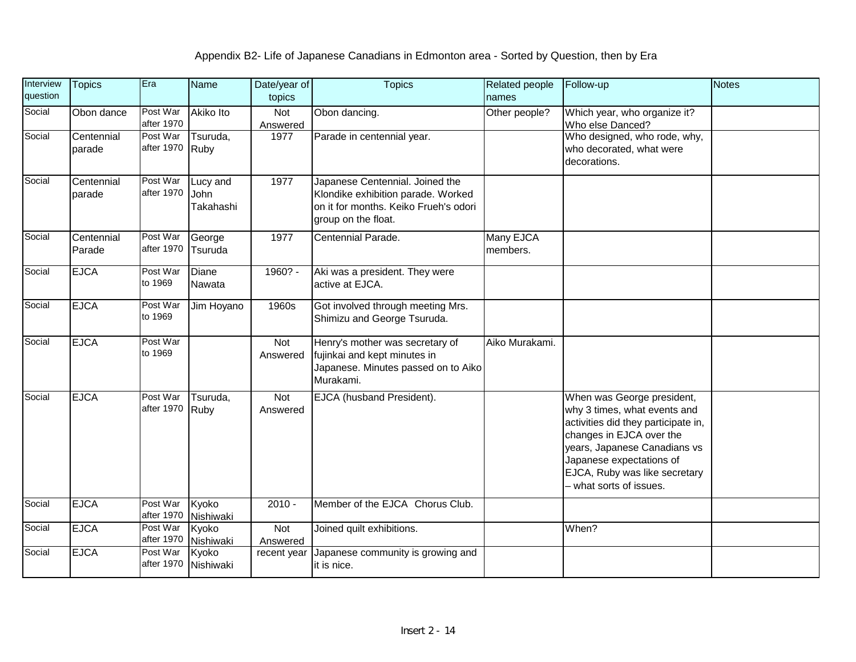| Interview<br>question | <b>Topics</b>        | Era                    | <b>Name</b>                   | Date/year of<br>topics | <b>Topics</b>                                                                                                                         | Related people<br>names | Follow-up                                                                                                                                                                                                                                             | <b>Notes</b> |
|-----------------------|----------------------|------------------------|-------------------------------|------------------------|---------------------------------------------------------------------------------------------------------------------------------------|-------------------------|-------------------------------------------------------------------------------------------------------------------------------------------------------------------------------------------------------------------------------------------------------|--------------|
| Social                | Obon dance           | Post War<br>after 1970 | <b>Akiko Ito</b>              | Not<br>Answered        | Obon dancing.                                                                                                                         | Other people?           | Which year, who organize it?<br>Who else Danced?                                                                                                                                                                                                      |              |
| Social                | Centennial<br>parade | Post War<br>after 1970 | Tsuruda,<br>Ruby              | 1977                   | Parade in centennial year.                                                                                                            |                         | Who designed, who rode, why,<br>who decorated, what were<br>decorations.                                                                                                                                                                              |              |
| Social                | Centennial<br>parade | Post War<br>after 1970 | Lucy and<br>John<br>Takahashi | 1977                   | Japanese Centennial. Joined the<br>Klondike exhibition parade. Worked<br>on it for months. Keiko Frueh's odori<br>group on the float. |                         |                                                                                                                                                                                                                                                       |              |
| Social                | Centennial<br>Parade | Post War<br>after 1970 | George<br>Tsuruda             | 1977                   | Centennial Parade.                                                                                                                    | Many EJCA<br>members.   |                                                                                                                                                                                                                                                       |              |
| Social                | <b>EJCA</b>          | Post War<br>to 1969    | Diane<br>Nawata               | 1960? -                | Aki was a president. They were<br>active at EJCA.                                                                                     |                         |                                                                                                                                                                                                                                                       |              |
| Social                | <b>EJCA</b>          | Post War<br>to 1969    | Jim Hoyano                    | 1960s                  | Got involved through meeting Mrs.<br>Shimizu and George Tsuruda.                                                                      |                         |                                                                                                                                                                                                                                                       |              |
| Social                | <b>EJCA</b>          | Post War<br>to 1969    |                               | Not<br>Answered        | Henry's mother was secretary of<br>fujinkai and kept minutes in<br>Japanese. Minutes passed on to Aiko<br>Murakami.                   | Aiko Murakami.          |                                                                                                                                                                                                                                                       |              |
| Social                | <b>EJCA</b>          | Post War<br>after 1970 | Tsuruda,<br>Ruby              | <b>Not</b><br>Answered | EJCA (husband President).                                                                                                             |                         | When was George president,<br>why 3 times, what events and<br>activities did they participate in,<br>changes in EJCA over the<br>years, Japanese Canadians vs<br>Japanese expectations of<br>EJCA, Ruby was like secretary<br>- what sorts of issues. |              |
| Social                | <b>EJCA</b>          | Post War<br>after 1970 | Kyoko<br>Nishiwaki            | $2010 -$               | Member of the EJCA Chorus Club.                                                                                                       |                         |                                                                                                                                                                                                                                                       |              |
| Social                | <b>EJCA</b>          | Post War<br>after 1970 | Kyoko<br>Nishiwaki            | <b>Not</b><br>Answered | Joined quilt exhibitions.                                                                                                             |                         | When?                                                                                                                                                                                                                                                 |              |
| Social                | <b>EJCA</b>          | Post War<br>after 1970 | Kyoko<br>Nishiwaki            | recent year            | Japanese community is growing and<br>it is nice.                                                                                      |                         |                                                                                                                                                                                                                                                       |              |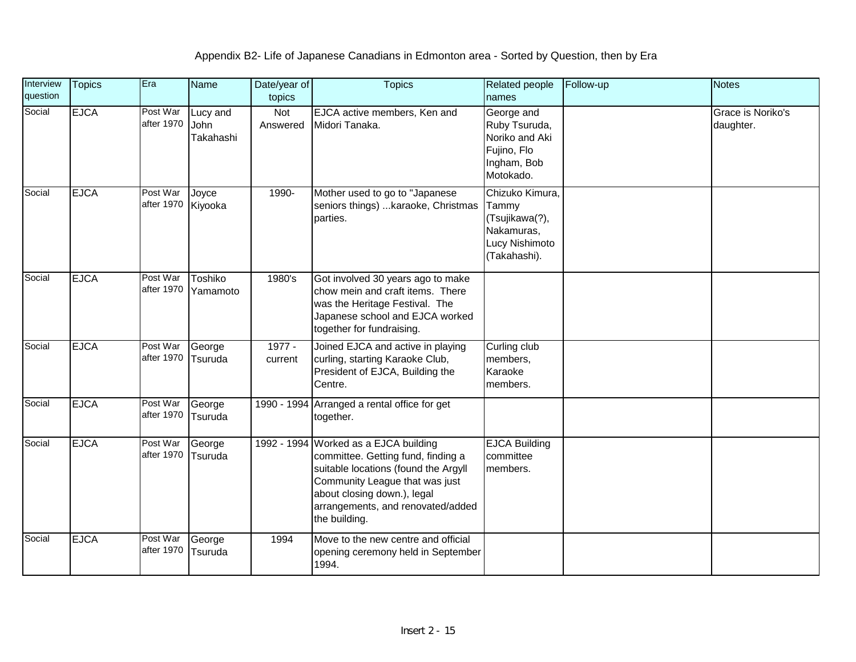| Interview<br>question | <b>Topics</b> | Era                    | <b>Name</b>                   | Date/year of<br>topics | <b>Topics</b>                                                                                                                                                                                                                              | <b>Related people</b><br>names                                                             | Follow-up | <b>Notes</b>                   |
|-----------------------|---------------|------------------------|-------------------------------|------------------------|--------------------------------------------------------------------------------------------------------------------------------------------------------------------------------------------------------------------------------------------|--------------------------------------------------------------------------------------------|-----------|--------------------------------|
| Social                | <b>EJCA</b>   | Post War<br>after 1970 | Lucy and<br>John<br>Takahashi | <b>Not</b><br>Answered | EJCA active members, Ken and<br>Midori Tanaka.                                                                                                                                                                                             | George and<br>Ruby Tsuruda,<br>Noriko and Aki<br>Fujino, Flo<br>Ingham, Bob<br>Motokado.   |           | Grace is Noriko's<br>daughter. |
| Social                | <b>EJCA</b>   | Post War<br>after 1970 | Joyce<br>Kiyooka              | 1990-                  | Mother used to go to "Japanese<br>seniors things)  karaoke, Christmas<br>parties.                                                                                                                                                          | Chizuko Kimura,<br>Tammy<br>(Tsujikawa(?),<br>Nakamuras,<br>Lucy Nishimoto<br>(Takahashi). |           |                                |
| Social                | <b>EJCA</b>   | Post War<br>after 1970 | Toshiko<br>Yamamoto           | 1980's                 | Got involved 30 years ago to make<br>chow mein and craft items. There<br>was the Heritage Festival. The<br>Japanese school and EJCA worked<br>together for fundraising.                                                                    |                                                                                            |           |                                |
| Social                | <b>EJCA</b>   | Post War<br>after 1970 | George<br>Tsuruda             | $1977 -$<br>current    | Joined EJCA and active in playing<br>curling, starting Karaoke Club,<br>President of EJCA, Building the<br>Centre.                                                                                                                         | Curling club<br>members,<br>Karaoke<br>members.                                            |           |                                |
| Social                | <b>EJCA</b>   | Post War<br>after 1970 | George<br>Tsuruda             |                        | 1990 - 1994 Arranged a rental office for get<br>together.                                                                                                                                                                                  |                                                                                            |           |                                |
| Social                | <b>EJCA</b>   | Post War<br>after 1970 | George<br>Tsuruda             |                        | 1992 - 1994 Worked as a EJCA building<br>committee. Getting fund, finding a<br>suitable locations (found the Argyll<br>Community League that was just<br>about closing down.), legal<br>arrangements, and renovated/added<br>the building. | <b>EJCA Building</b><br>committee<br>members.                                              |           |                                |
| Social                | <b>EJCA</b>   | Post War<br>after 1970 | George<br>Tsuruda             | 1994                   | Move to the new centre and official<br>opening ceremony held in September<br>1994.                                                                                                                                                         |                                                                                            |           |                                |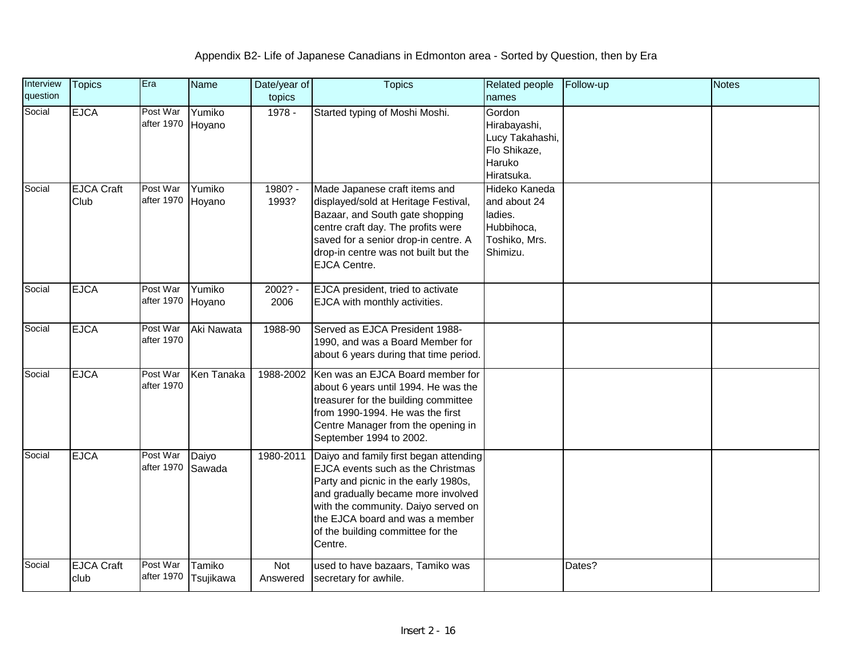| Interview<br>question | <b>Topics</b>             | Era                    | Name                | Date/year of<br>topics | <b>Topics</b>                                                                                                                                                                                                                                                                       | Related people<br>names                                                             | Follow-up | Notes |
|-----------------------|---------------------------|------------------------|---------------------|------------------------|-------------------------------------------------------------------------------------------------------------------------------------------------------------------------------------------------------------------------------------------------------------------------------------|-------------------------------------------------------------------------------------|-----------|-------|
| Social                | <b>EJCA</b>               | Post War<br>after 1970 | Yumiko<br>Hoyano    | 1978 -                 | Started typing of Moshi Moshi.                                                                                                                                                                                                                                                      | Gordon<br>Hirabayashi,<br>Lucy Takahashi,<br>Flo Shikaze,<br>Haruko<br>Hiratsuka.   |           |       |
| Social                | <b>EJCA Craft</b><br>Club | Post War<br>after 1970 | Yumiko<br>Hoyano    | 1980? -<br>1993?       | Made Japanese craft items and<br>displayed/sold at Heritage Festival,<br>Bazaar, and South gate shopping<br>centre craft day. The profits were<br>saved for a senior drop-in centre. A<br>drop-in centre was not built but the<br><b>EJCA Centre.</b>                               | Hideko Kaneda<br>and about 24<br>ladies.<br>Hubbihoca,<br>Toshiko, Mrs.<br>Shimizu. |           |       |
| Social                | <b>EJCA</b>               | Post War<br>after 1970 | Yumiko<br>Hoyano    | 2002? -<br>2006        | EJCA president, tried to activate<br>EJCA with monthly activities.                                                                                                                                                                                                                  |                                                                                     |           |       |
| Social                | <b>EJCA</b>               | Post War<br>after 1970 | Aki Nawata          | 1988-90                | Served as EJCA President 1988-<br>1990, and was a Board Member for<br>about 6 years during that time period.                                                                                                                                                                        |                                                                                     |           |       |
| Social                | <b>EJCA</b>               | Post War<br>after 1970 | Ken Tanaka          | 1988-2002              | Ken was an EJCA Board member for<br>about 6 years until 1994. He was the<br>treasurer for the building committee<br>from 1990-1994. He was the first<br>Centre Manager from the opening in<br>September 1994 to 2002.                                                               |                                                                                     |           |       |
| Social                | <b>EJCA</b>               | Post War<br>after 1970 | Daiyo<br>Sawada     | 1980-2011              | Daiyo and family first began attending<br>EJCA events such as the Christmas<br>Party and picnic in the early 1980s,<br>and gradually became more involved<br>with the community. Daiyo served on<br>the EJCA board and was a member<br>of the building committee for the<br>Centre. |                                                                                     |           |       |
| Social                | <b>EJCA Craft</b><br>club | Post War<br>after 1970 | Tamiko<br>Tsujikawa | Not<br>Answered        | used to have bazaars, Tamiko was<br>secretary for awhile.                                                                                                                                                                                                                           |                                                                                     | Dates?    |       |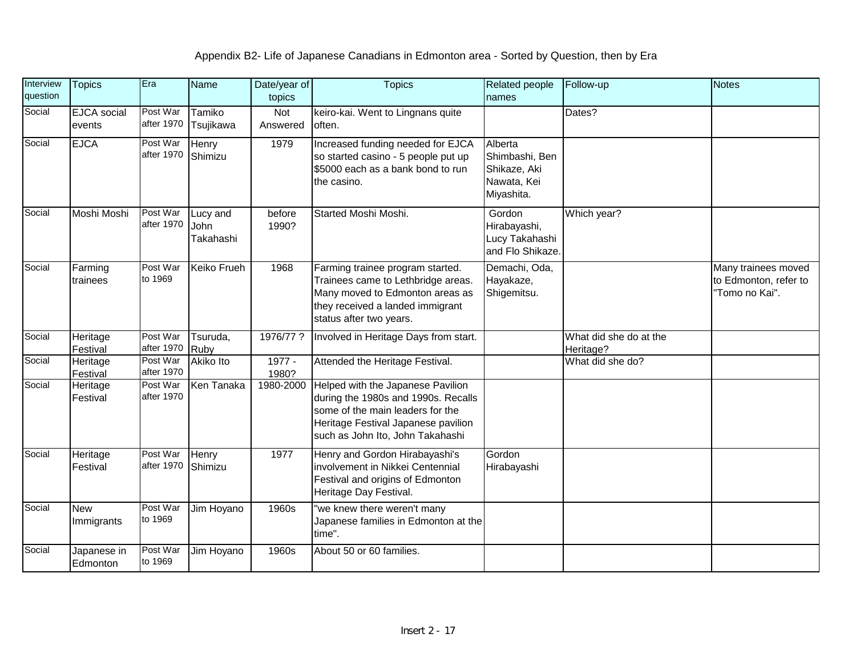| Interview<br>question | <b>Topics</b>            | Era                    | <b>Name</b>                   | Date/year of<br>topics | <b>Topics</b>                                                                                                                                                                           | Related people<br>names                                                | Follow-up                           | <b>Notes</b>                                                   |
|-----------------------|--------------------------|------------------------|-------------------------------|------------------------|-----------------------------------------------------------------------------------------------------------------------------------------------------------------------------------------|------------------------------------------------------------------------|-------------------------------------|----------------------------------------------------------------|
| Social                | EJCA social<br>events    | Post War<br>after 1970 | Tamiko<br>Tsujikawa           | Not<br>Answered        | keiro-kai. Went to Lingnans quite<br>often.                                                                                                                                             |                                                                        | Dates?                              |                                                                |
| Social                | <b>EJCA</b>              | Post War<br>after 1970 | Henry<br>Shimizu              | 1979                   | Increased funding needed for EJCA<br>so started casino - 5 people put up<br>\$5000 each as a bank bond to run<br>the casino.                                                            | Alberta<br>Shimbashi, Ben<br>Shikaze, Aki<br>Nawata, Kei<br>Miyashita. |                                     |                                                                |
| Social                | Moshi Moshi              | Post War<br>after 1970 | Lucy and<br>John<br>Takahashi | before<br>1990?        | Started Moshi Moshi.                                                                                                                                                                    | Gordon<br>Hirabayashi,<br>Lucy Takahashi<br>and Flo Shikaze.           | Which year?                         |                                                                |
| Social                | Farming<br>trainees      | Post War<br>to 1969    | Keiko Frueh                   | 1968                   | Farming trainee program started.<br>Trainees came to Lethbridge areas.<br>Many moved to Edmonton areas as<br>they received a landed immigrant<br>status after two years.                | Demachi, Oda,<br>Hayakaze,<br>Shigemitsu.                              |                                     | Many trainees moved<br>to Edmonton, refer to<br>"Tomo no Kai". |
| Social                | Heritage<br>Festival     | Post War<br>after 1970 | Tsuruda,<br>Ruby              | 1976/77 ?              | Involved in Heritage Days from start.                                                                                                                                                   |                                                                        | What did she do at the<br>Heritage? |                                                                |
| Social                | Heritage<br>Festival     | Post War<br>after 1970 | Akiko Ito                     | 1977 -<br>1980?        | Attended the Heritage Festival.                                                                                                                                                         |                                                                        | What did she do?                    |                                                                |
| Social                | Heritage<br>Festival     | Post War<br>after 1970 | Ken Tanaka                    | 1980-2000              | Helped with the Japanese Pavilion<br>during the 1980s and 1990s. Recalls<br>some of the main leaders for the<br>Heritage Festival Japanese pavilion<br>such as John Ito, John Takahashi |                                                                        |                                     |                                                                |
| Social                | Heritage<br>Festival     | Post War<br>after 1970 | <b>Henry</b><br>Shimizu       | 1977                   | Henry and Gordon Hirabayashi's<br>involvement in Nikkei Centennial<br>Festival and origins of Edmonton<br>Heritage Day Festival.                                                        | Gordon<br>Hirabayashi                                                  |                                     |                                                                |
| Social                | <b>New</b><br>Immigrants | Post War<br>to 1969    | Jim Hoyano                    | 1960s                  | we knew there weren't many<br>Japanese families in Edmonton at the<br>time".                                                                                                            |                                                                        |                                     |                                                                |
| Social                | Japanese in<br>Edmonton  | Post War<br>to 1969    | Jim Hoyano                    | 1960s                  | About 50 or 60 families.                                                                                                                                                                |                                                                        |                                     |                                                                |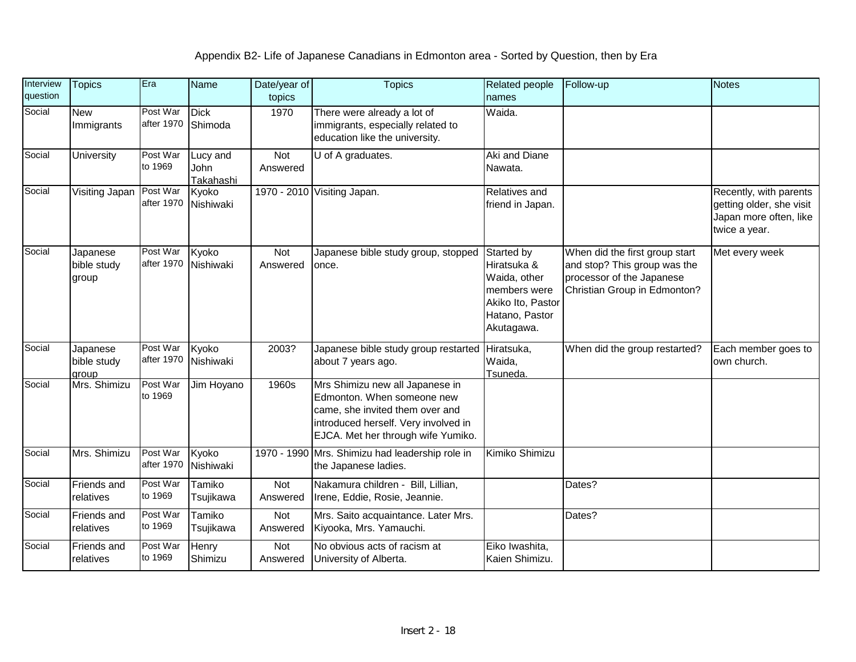| Interview<br>question | <b>Topics</b>                    | Era                    | <b>Name</b>                          | Date/year of<br>topics | <b>Topics</b>                                                                                                                                                                  | <b>Related people</b><br>names                                                                                 | Follow-up                                                                                                                   | <b>Notes</b>                                                                                  |
|-----------------------|----------------------------------|------------------------|--------------------------------------|------------------------|--------------------------------------------------------------------------------------------------------------------------------------------------------------------------------|----------------------------------------------------------------------------------------------------------------|-----------------------------------------------------------------------------------------------------------------------------|-----------------------------------------------------------------------------------------------|
| Social                | <b>New</b><br>Immigrants         | Post War<br>after 1970 | <b>Dick</b><br>Shimoda               | 1970                   | There were already a lot of<br>immigrants, especially related to<br>education like the university.                                                                             | Waida.                                                                                                         |                                                                                                                             |                                                                                               |
| Social                | <b>University</b>                | Post War<br>to 1969    | Lucy and<br>John<br><b>Takahashi</b> | Not<br>Answered        | U of A graduates.                                                                                                                                                              | Aki and Diane<br>Nawata.                                                                                       |                                                                                                                             |                                                                                               |
| Social                | Visiting Japan                   | Post War<br>after 1970 | Kyoko<br>Nishiwaki                   |                        | 1970 - 2010 Visiting Japan.                                                                                                                                                    | Relatives and<br>friend in Japan.                                                                              |                                                                                                                             | Recently, with parents<br>getting older, she visit<br>Japan more often, like<br>twice a year. |
| Social                | Japanese<br>bible study<br>group | Post War<br>after 1970 | Kyoko<br>Nishiwaki                   | Not<br>Answered        | Japanese bible study group, stopped<br>once.                                                                                                                                   | Started by<br>Hiratsuka &<br>Waida, other<br>members were<br>Akiko Ito, Pastor<br>Hatano, Pastor<br>Akutagawa. | When did the first group start<br>and stop? This group was the<br>processor of the Japanese<br>Christian Group in Edmonton? | Met every week                                                                                |
| Social                | Japanese<br>bible study<br>group | Post War<br>after 1970 | Kyoko<br>Nishiwaki                   | 2003?                  | Japanese bible study group restarted<br>about 7 years ago.                                                                                                                     | Hiratsuka,<br>Waida,<br>Tsuneda.                                                                               | When did the group restarted?                                                                                               | Each member goes to<br>own church.                                                            |
| Social                | Mrs. Shimizu                     | Post War<br>to 1969    | Jim Hoyano                           | 1960s                  | Mrs Shimizu new all Japanese in<br>Edmonton. When someone new<br>came, she invited them over and<br>introduced herself. Very involved in<br>EJCA. Met her through wife Yumiko. |                                                                                                                |                                                                                                                             |                                                                                               |
| Social                | Mrs. Shimizu                     | Post War<br>after 1970 | Kyoko<br>Nishiwaki                   |                        | 1970 - 1990 Mrs. Shimizu had leadership role in<br>the Japanese ladies.                                                                                                        | Kimiko Shimizu                                                                                                 |                                                                                                                             |                                                                                               |
| Social                | Friends and<br>relatives         | Post War<br>to 1969    | Tamiko<br>Tsujikawa                  | <b>Not</b><br>Answered | Nakamura children - Bill, Lillian,<br>Irene, Eddie, Rosie, Jeannie.                                                                                                            |                                                                                                                | Dates?                                                                                                                      |                                                                                               |
| Social                | <b>Friends and</b><br>relatives  | Post War<br>to 1969    | Tamiko<br>Tsujikawa                  | Not<br>Answered        | Mrs. Saito acquaintance. Later Mrs.<br>Kiyooka, Mrs. Yamauchi.                                                                                                                 |                                                                                                                | Dates?                                                                                                                      |                                                                                               |
| Social                | <b>Friends and</b><br>relatives  | Post War<br>to 1969    | Henry<br>Shimizu                     | Not<br>Answered        | No obvious acts of racism at<br>University of Alberta.                                                                                                                         | Eiko Iwashita,<br>Kaien Shimizu.                                                                               |                                                                                                                             |                                                                                               |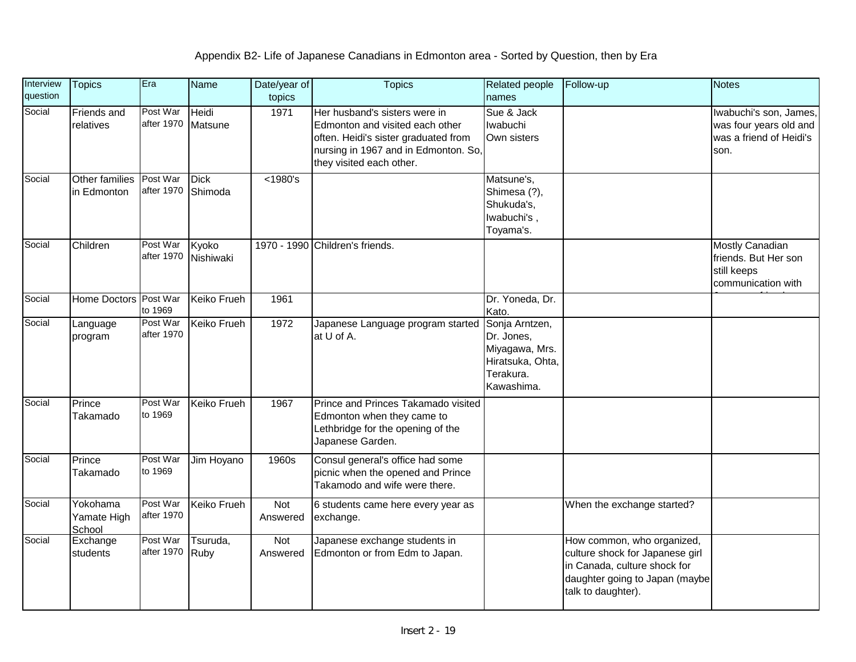| Interview<br>question | <b>Topics</b>                     | Era                    | <b>Name</b>            | Date/year of<br>topics | <b>Topics</b>                                                                                                                                                                | <b>Related people</b><br>names                                                                | Follow-up                                                                                                                                             | <b>Notes</b>                                                                        |
|-----------------------|-----------------------------------|------------------------|------------------------|------------------------|------------------------------------------------------------------------------------------------------------------------------------------------------------------------------|-----------------------------------------------------------------------------------------------|-------------------------------------------------------------------------------------------------------------------------------------------------------|-------------------------------------------------------------------------------------|
| Social                | Friends and<br>relatives          | Post War<br>after 1970 | Heidi<br>Matsune       | 1971                   | Her husband's sisters were in<br>Edmonton and visited each other<br>often. Heidi's sister graduated from<br>nursing in 1967 and in Edmonton. So,<br>they visited each other. | Sue & Jack<br>Iwabuchi<br>Own sisters                                                         |                                                                                                                                                       | Iwabuchi's son, James,<br>was four years old and<br>was a friend of Heidi's<br>son. |
| Social                | Other families<br>in Edmonton     | Post War<br>after 1970 | <b>Dick</b><br>Shimoda | $<$ 1980's             |                                                                                                                                                                              | Matsune's,<br>Shimesa (?),<br>Shukuda's,<br>lwabuchi's,<br>Toyama's.                          |                                                                                                                                                       |                                                                                     |
| Social                | Children                          | Post War<br>after 1970 | Kyoko<br>Nishiwaki     |                        | 1970 - 1990 Children's friends.                                                                                                                                              |                                                                                               |                                                                                                                                                       | <b>Mostly Canadian</b><br>friends. But Her son<br>still keeps<br>communication with |
| Social                | Home Doctors Post War             | to 1969                | <b>Keiko Frueh</b>     | 1961                   |                                                                                                                                                                              | Dr. Yoneda, Dr.<br>Kato.                                                                      |                                                                                                                                                       |                                                                                     |
| Social                | Language<br>program               | Post War<br>after 1970 | Keiko Frueh            | 1972                   | Japanese Language program started<br>at U of A.                                                                                                                              | Sonja Arntzen,<br>Dr. Jones,<br>Miyagawa, Mrs.<br>Hiratsuka, Ohta,<br>Terakura.<br>Kawashima. |                                                                                                                                                       |                                                                                     |
| Social                | Prince<br>Takamado                | Post War<br>to 1969    | Keiko Frueh            | 1967                   | Prince and Princes Takamado visited<br>Edmonton when they came to<br>Lethbridge for the opening of the<br>Japanese Garden.                                                   |                                                                                               |                                                                                                                                                       |                                                                                     |
| Social                | Prince<br>Takamado                | Post War<br>to 1969    | Jim Hoyano             | 1960s                  | Consul general's office had some<br>picnic when the opened and Prince<br>Takamodo and wife were there.                                                                       |                                                                                               |                                                                                                                                                       |                                                                                     |
| Social                | Yokohama<br>Yamate High<br>School | Post War<br>after 1970 | Keiko Frueh            | Not<br>Answered        | 6 students came here every year as<br>exchange.                                                                                                                              |                                                                                               | When the exchange started?                                                                                                                            |                                                                                     |
| Social                | Exchange<br>students              | Post War<br>after 1970 | Tsuruda,<br>Ruby       | Not<br>Answered        | Japanese exchange students in<br>Edmonton or from Edm to Japan.                                                                                                              |                                                                                               | How common, who organized,<br>culture shock for Japanese girl<br>in Canada, culture shock for<br>daughter going to Japan (maybe<br>talk to daughter). |                                                                                     |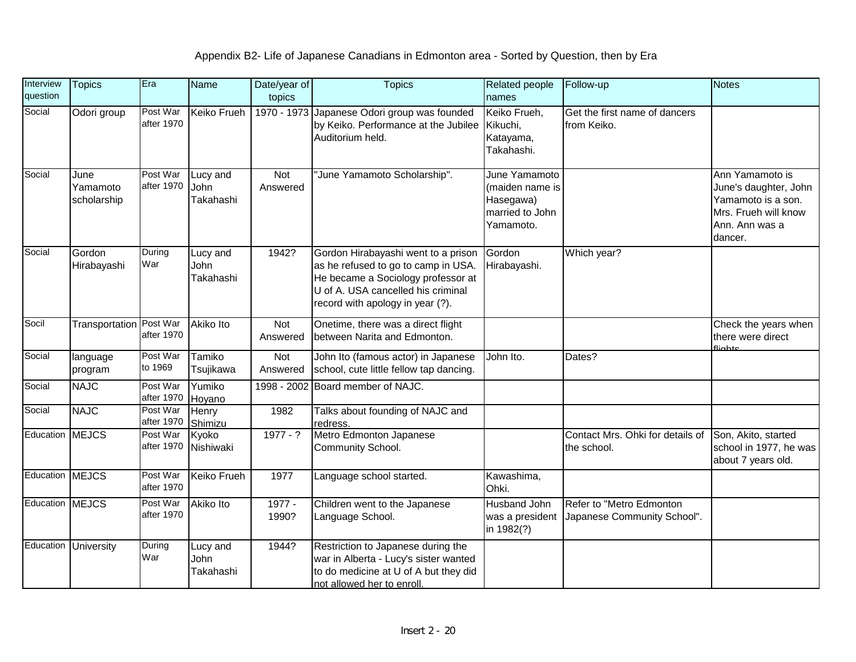| Interview<br>question | <b>Topics</b>                   | Era                    | Name                          | Date/year of<br>topics | <b>Topics</b>                                                                                                                                                                              | <b>Related people</b><br>names                                                | Follow-up                                               | <b>Notes</b>                                                                                                        |
|-----------------------|---------------------------------|------------------------|-------------------------------|------------------------|--------------------------------------------------------------------------------------------------------------------------------------------------------------------------------------------|-------------------------------------------------------------------------------|---------------------------------------------------------|---------------------------------------------------------------------------------------------------------------------|
| Social                | Odori group                     | Post War<br>after 1970 | <b>Keiko Frueh</b>            | 1970 - 1973            | Japanese Odori group was founded<br>by Keiko. Performance at the Jubilee<br>Auditorium held.                                                                                               | Keiko Frueh,<br>Kikuchi,<br>Katayama,<br>Takahashi.                           | Get the first name of dancers<br>from Keiko.            |                                                                                                                     |
| Social                | June<br>Yamamoto<br>scholarship | Post War<br>after 1970 | Lucy and<br>John<br>Takahashi | Not<br>Answered        | "June Yamamoto Scholarship".                                                                                                                                                               | June Yamamoto<br>(maiden name is<br>Hasegawa)<br>married to John<br>Yamamoto. |                                                         | Ann Yamamoto is<br>June's daughter, John<br>Yamamoto is a son.<br>Mrs. Frueh will know<br>Ann. Ann was a<br>dancer. |
| Social                | Gordon<br>Hirabayashi           | During<br>War          | Lucy and<br>John<br>Takahashi | 1942?                  | Gordon Hirabayashi went to a prison<br>as he refused to go to camp in USA.<br>He became a Sociology professor at<br>U of A. USA cancelled his criminal<br>record with apology in year (?). | Gordon<br>Hirabayashi.                                                        | Which year?                                             |                                                                                                                     |
| Socil                 | Transportation Post War         | after 1970             | <b>Akiko Ito</b>              | Not<br>Answered        | Onetime, there was a direct flight<br>between Narita and Edmonton.                                                                                                                         |                                                                               |                                                         | Check the years when<br>there were direct<br>fliabte                                                                |
| Social                | language<br>program             | Post War<br>to 1969    | Tamiko<br>Tsujikawa           | Not<br>Answered        | John Ito (famous actor) in Japanese<br>school, cute little fellow tap dancing.                                                                                                             | John Ito.                                                                     | Dates?                                                  |                                                                                                                     |
| Social                | <b>NAJC</b>                     | Post War<br>after 1970 | Yumiko<br>Hoyano              | 1998 - 2002            | Board member of NAJC.                                                                                                                                                                      |                                                                               |                                                         |                                                                                                                     |
| Social                | <b>NAJC</b>                     | Post War<br>after 1970 | Henry<br>Shimizu              | 1982                   | Talks about founding of NAJC and<br>redress.                                                                                                                                               |                                                                               |                                                         |                                                                                                                     |
| Education             | <b>MEJCS</b>                    | Post War<br>after 1970 | Kyoko<br>Nishiwaki            | $1977 - ?$             | Metro Edmonton Japanese<br>Community School.                                                                                                                                               |                                                                               | Contact Mrs. Ohki for details of<br>the school.         | Son, Akito, started<br>school in 1977, he was<br>about 7 years old.                                                 |
| Education             | <b>MEJCS</b>                    | Post War<br>after 1970 | <b>Keiko Frueh</b>            | 1977                   | Language school started.                                                                                                                                                                   | Kawashima,<br>Ohki.                                                           |                                                         |                                                                                                                     |
| Education MEJCS       |                                 | Post War<br>after 1970 | Akiko Ito                     | 1977 -<br>1990?        | Children went to the Japanese<br>Language School.                                                                                                                                          | <b>Husband John</b><br>was a president<br>in 1982(?)                          | Refer to "Metro Edmonton<br>Japanese Community School". |                                                                                                                     |
| Education             | University                      | During<br>War          | Lucy and<br>John<br>Takahashi | 1944?                  | Restriction to Japanese during the<br>war in Alberta - Lucy's sister wanted<br>to do medicine at U of A but they did<br>not allowed her to enroll.                                         |                                                                               |                                                         |                                                                                                                     |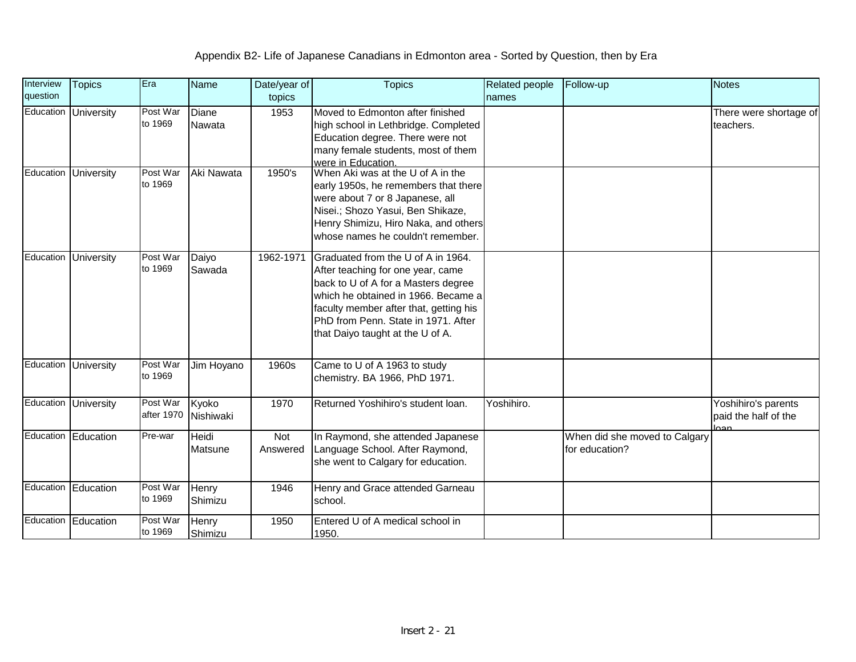| Interview | <b>Topics</b>        | Era                    | <b>Name</b>        | Date/year of    | <b>Topics</b>                                                                                                                                                                                                                                                              | <b>Related people</b> | Follow-up                                       | <b>Notes</b>                                |
|-----------|----------------------|------------------------|--------------------|-----------------|----------------------------------------------------------------------------------------------------------------------------------------------------------------------------------------------------------------------------------------------------------------------------|-----------------------|-------------------------------------------------|---------------------------------------------|
| question  |                      |                        |                    | topics          |                                                                                                                                                                                                                                                                            | names                 |                                                 |                                             |
| Education | University           | Post War<br>to 1969    | Diane<br>Nawata    | 1953            | Moved to Edmonton after finished<br>high school in Lethbridge. Completed<br>Education degree. There were not<br>many female students, most of them<br>were in Education.                                                                                                   |                       |                                                 | There were shortage of<br>teachers.         |
|           | Education University | Post War<br>to 1969    | Aki Nawata         | 1950's          | When Aki was at the U of A in the<br>early 1950s, he remembers that there<br>were about 7 or 8 Japanese, all<br>Nisei.; Shozo Yasui, Ben Shikaze,<br>Henry Shimizu, Hiro Naka, and others<br>whose names he couldn't remember.                                             |                       |                                                 |                                             |
| Education | <b>University</b>    | Post War<br>to 1969    | Daiyo<br>Sawada    | 1962-1971       | Graduated from the U of A in 1964.<br>After teaching for one year, came<br>back to U of A for a Masters degree<br>which he obtained in 1966. Became a<br>faculty member after that, getting his<br>PhD from Penn. State in 1971. After<br>that Daiyo taught at the U of A. |                       |                                                 |                                             |
|           | Education University | Post War<br>to 1969    | Jim Hoyano         | 1960s           | Came to U of A 1963 to study<br>chemistry. BA 1966, PhD 1971.                                                                                                                                                                                                              |                       |                                                 |                                             |
|           | Education University | Post War<br>after 1970 | Kyoko<br>Nishiwaki | 1970            | Returned Yoshihiro's student loan.                                                                                                                                                                                                                                         | Yoshihiro.            |                                                 | Yoshihiro's parents<br>paid the half of the |
|           | Education Education  | Pre-war                | Heidi<br>Matsune   | Not<br>Answered | In Raymond, she attended Japanese<br>Language School. After Raymond,<br>she went to Calgary for education.                                                                                                                                                                 |                       | When did she moved to Calgary<br>for education? |                                             |
|           | Education Education  | Post War<br>to 1969    | Henry<br>Shimizu   | 1946            | Henry and Grace attended Garneau<br>school.                                                                                                                                                                                                                                |                       |                                                 |                                             |
|           | Education Education  | Post War<br>to 1969    | Henry<br>Shimizu   | 1950            | Entered U of A medical school in<br>1950.                                                                                                                                                                                                                                  |                       |                                                 |                                             |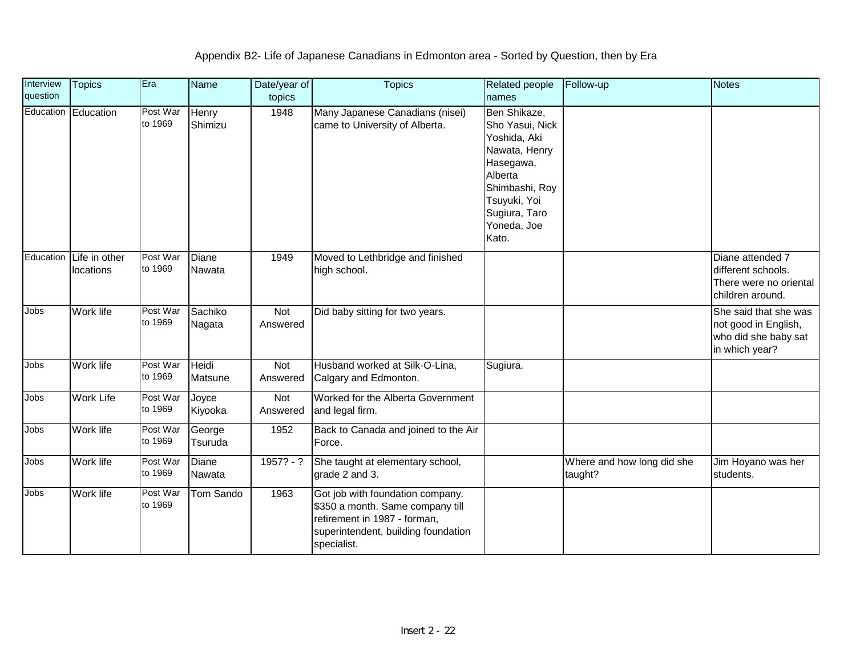| Interview<br>question | <b>Topics</b>              | Era                 | <b>Name</b>       | Date/year of<br>topics | <b>Topics</b>                                                                                                                                              | <b>Related people</b><br>names                                                                                                                                      | Follow-up                             | <b>Notes</b>                                                                            |
|-----------------------|----------------------------|---------------------|-------------------|------------------------|------------------------------------------------------------------------------------------------------------------------------------------------------------|---------------------------------------------------------------------------------------------------------------------------------------------------------------------|---------------------------------------|-----------------------------------------------------------------------------------------|
|                       | Education Education        | Post War<br>to 1969 | Henry<br>Shimizu  | 1948                   | Many Japanese Canadians (nisei)<br>came to University of Alberta.                                                                                          | Ben Shikaze,<br>Sho Yasui, Nick<br>Yoshida, Aki<br>Nawata, Henry<br>Hasegawa,<br>Alberta<br>Shimbashi, Roy<br>Tsuyuki, Yoi<br>Sugiura, Taro<br>Yoneda, Joe<br>Kato. |                                       |                                                                                         |
| Education             | Life in other<br>locations | Post War<br>to 1969 | Diane<br>Nawata   | 1949                   | Moved to Lethbridge and finished<br>high school.                                                                                                           |                                                                                                                                                                     |                                       | Diane attended 7<br>different schools.<br>There were no oriental<br>children around.    |
| Jobs                  | Work life                  | Post War<br>to 1969 | Sachiko<br>Nagata | <b>Not</b><br>Answered | Did baby sitting for two years.                                                                                                                            |                                                                                                                                                                     |                                       | She said that she was<br>not good in English,<br>who did she baby sat<br>in which year? |
| Jobs                  | Work life                  | Post War<br>to 1969 | Heidi<br>Matsune  | Not<br>Answered        | Husband worked at Silk-O-Lina,<br>Calgary and Edmonton.                                                                                                    | Sugiura.                                                                                                                                                            |                                       |                                                                                         |
| <b>Jobs</b>           | <b>Work Life</b>           | Post War<br>to 1969 | Joyce<br>Kiyooka  | Not<br>Answered        | Worked for the Alberta Government<br>and legal firm.                                                                                                       |                                                                                                                                                                     |                                       |                                                                                         |
| Jobs                  | Work life                  | Post War<br>to 1969 | George<br>Tsuruda | 1952                   | Back to Canada and joined to the Air<br>Force.                                                                                                             |                                                                                                                                                                     |                                       |                                                                                         |
| <b>Jobs</b>           | Work life                  | Post War<br>to 1969 | Diane<br>Nawata   | $1957? - ?$            | She taught at elementary school,<br>grade 2 and 3.                                                                                                         |                                                                                                                                                                     | Where and how long did she<br>taught? | Jim Hoyano was her<br>students.                                                         |
| Jobs                  | Work life                  | Post War<br>to 1969 | Tom Sando         | 1963                   | Got job with foundation company.<br>\$350 a month. Same company till<br>retirement in 1987 - forman,<br>superintendent, building foundation<br>specialist. |                                                                                                                                                                     |                                       |                                                                                         |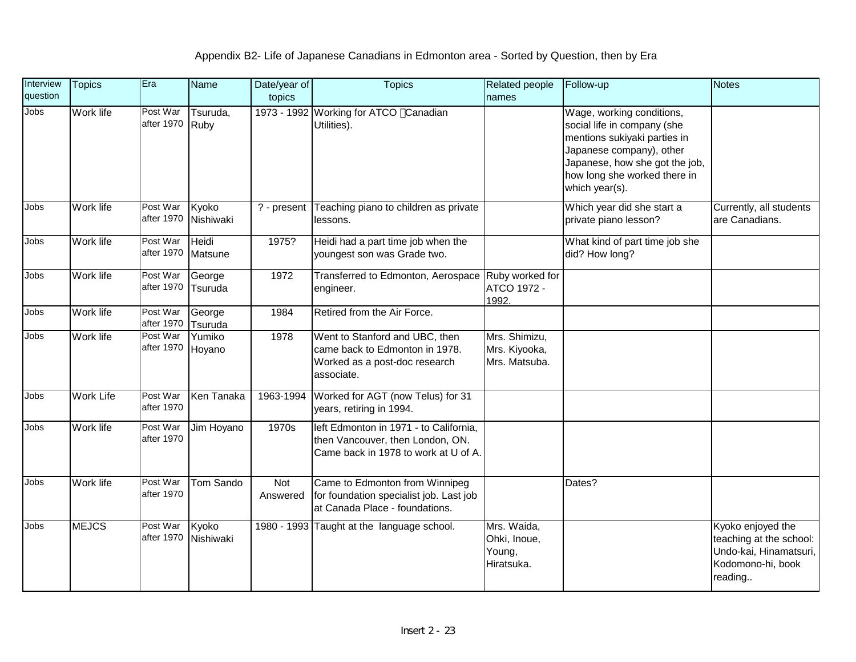| Interview<br>question | <b>Topics</b>    | Era                    | <b>Name</b>        | Date/year of<br>topics | <b>Topics</b>                                                                                                      | <b>Related people</b><br>names                      | Follow-up                                                                                                                                                                                                | <b>Notes</b>                                                                                           |
|-----------------------|------------------|------------------------|--------------------|------------------------|--------------------------------------------------------------------------------------------------------------------|-----------------------------------------------------|----------------------------------------------------------------------------------------------------------------------------------------------------------------------------------------------------------|--------------------------------------------------------------------------------------------------------|
| <b>Jobs</b>           | Work life        | Post War<br>after 1970 | Tsuruda,<br>Ruby   |                        | 1973 - 1992 Working for ATCO Canadian<br>Utilities).                                                               |                                                     | Wage, working conditions,<br>social life in company (she<br>mentions sukiyaki parties in<br>Japanese company), other<br>Japanese, how she got the job,<br>how long she worked there in<br>which year(s). |                                                                                                        |
| Jobs                  | Work life        | Post War<br>after 1970 | Kyoko<br>Nishiwaki | ? - present            | Teaching piano to children as private<br>lessons.                                                                  |                                                     | Which year did she start a<br>private piano lesson?                                                                                                                                                      | Currently, all students<br>are Canadians.                                                              |
| Jobs                  | Work life        | Post War<br>after 1970 | Heidi<br>Matsune   | 1975?                  | Heidi had a part time job when the<br>youngest son was Grade two.                                                  |                                                     | What kind of part time job she<br>did? How long?                                                                                                                                                         |                                                                                                        |
| Jobs                  | Work life        | Post War<br>after 1970 | George<br>Tsuruda  | 1972                   | Transferred to Edmonton, Aerospace Ruby worked for<br>engineer.                                                    | ATCO 1972 -<br>1992.                                |                                                                                                                                                                                                          |                                                                                                        |
| Jobs                  | Work life        | Post War<br>after 1970 | George<br>Tsuruda  | 1984                   | Retired from the Air Force.                                                                                        |                                                     |                                                                                                                                                                                                          |                                                                                                        |
| Jobs                  | Work life        | Post War<br>after 1970 | Yumiko<br>Hoyano   | 1978                   | Went to Stanford and UBC, then<br>came back to Edmonton in 1978.<br>Worked as a post-doc research<br>associate.    | Mrs. Shimizu,<br>Mrs. Kiyooka,<br>Mrs. Matsuba.     |                                                                                                                                                                                                          |                                                                                                        |
| Jobs                  | <b>Work Life</b> | Post War<br>after 1970 | Ken Tanaka         | 1963-1994              | Worked for AGT (now Telus) for 31<br>years, retiring in 1994.                                                      |                                                     |                                                                                                                                                                                                          |                                                                                                        |
| Jobs                  | Work life        | Post War<br>after 1970 | Jim Hoyano         | 1970s                  | left Edmonton in 1971 - to California,<br>then Vancouver, then London, ON.<br>Came back in 1978 to work at U of A. |                                                     |                                                                                                                                                                                                          |                                                                                                        |
| Jobs                  | Work life        | Post War<br>after 1970 | <b>Tom Sando</b>   | Not<br>Answered        | Came to Edmonton from Winnipeg<br>for foundation specialist job. Last job<br>at Canada Place - foundations.        |                                                     | Dates?                                                                                                                                                                                                   |                                                                                                        |
| Jobs                  | <b>MEJCS</b>     | Post War<br>after 1970 | Kyoko<br>Nishiwaki |                        | 1980 - 1993 Taught at the language school.                                                                         | Mrs. Waida,<br>Ohki, Inoue,<br>Young,<br>Hiratsuka. |                                                                                                                                                                                                          | Kyoko enjoyed the<br>teaching at the school:<br>Undo-kai, Hinamatsuri,<br>Kodomono-hi, book<br>reading |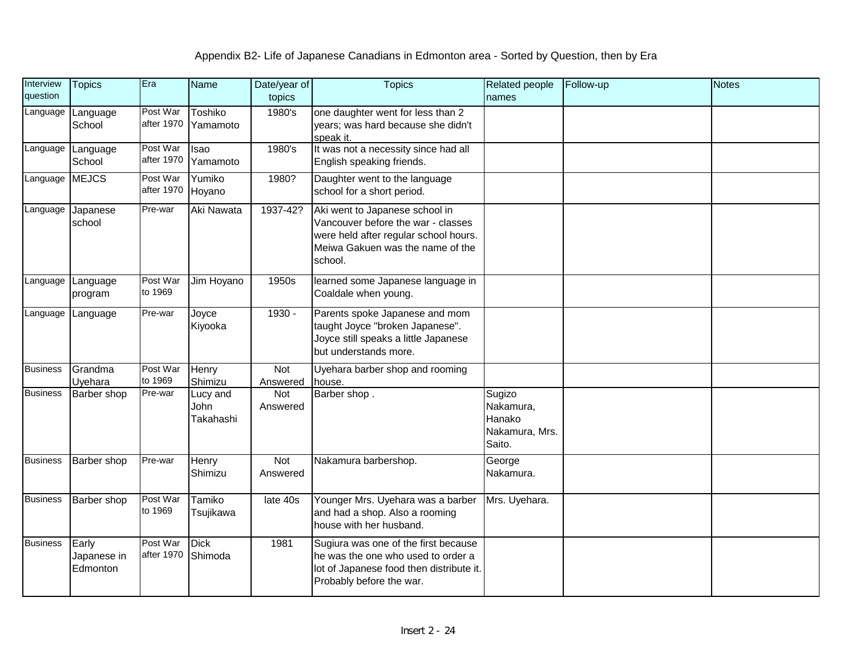| Interview<br>question | <b>Topics</b>                    | Era                    | <b>Name</b>                   | Date/year of<br>topics | <b>Topics</b>                                                                                                                                                | Related people<br>names                                   | Follow-up | <b>Notes</b> |
|-----------------------|----------------------------------|------------------------|-------------------------------|------------------------|--------------------------------------------------------------------------------------------------------------------------------------------------------------|-----------------------------------------------------------|-----------|--------------|
| Language              | Language<br>School               | Post War<br>after 1970 | Toshiko<br>Yamamoto           | 1980's                 | one daughter went for less than 2<br>years; was hard because she didn't<br>speak it.                                                                         |                                                           |           |              |
| Language              | Language<br>School               | Post War<br>after 1970 | Isao<br>Yamamoto              | 1980's                 | It was not a necessity since had all<br>English speaking friends.                                                                                            |                                                           |           |              |
| Language              | <b>MEJCS</b>                     | Post War<br>after 1970 | Yumiko<br>Hoyano              | 1980?                  | Daughter went to the language<br>school for a short period.                                                                                                  |                                                           |           |              |
| Language              | Japanese<br>school               | Pre-war                | Aki Nawata                    | 1937-42?               | Aki went to Japanese school in<br>Vancouver before the war - classes<br>were held after regular school hours.<br>Meiwa Gakuen was the name of the<br>school. |                                                           |           |              |
| Language              | Language<br>program              | Post War<br>to 1969    | Jim Hoyano                    | 1950s                  | learned some Japanese language in<br>Coaldale when young.                                                                                                    |                                                           |           |              |
| Language              | Language                         | Pre-war                | Joyce<br>Kiyooka              | 1930 -                 | Parents spoke Japanese and mom<br>taught Joyce "broken Japanese".<br>Joyce still speaks a little Japanese<br>but understands more.                           |                                                           |           |              |
| <b>Business</b>       | Grandma<br>Uvehara               | Post War<br>to 1969    | Henry<br>Shimizu              | Not<br>Answered        | Uyehara barber shop and rooming<br>house.                                                                                                                    |                                                           |           |              |
| <b>Business</b>       | <b>Barber</b> shop               | Pre-war                | Lucy and<br>John<br>Takahashi | Not<br>Answered        | Barber shop.                                                                                                                                                 | Sugizo<br>Nakamura,<br>Hanako<br>Nakamura, Mrs.<br>Saito. |           |              |
| <b>Business</b>       | Barber shop                      | Pre-war                | Henry<br>Shimizu              | Not<br>Answered        | Nakamura barbershop.                                                                                                                                         | George<br>Nakamura.                                       |           |              |
| <b>Business</b>       | Barber shop                      | Post War<br>to 1969    | Tamiko<br>Tsujikawa           | late 40s               | Younger Mrs. Uyehara was a barber<br>and had a shop. Also a rooming<br>house with her husband.                                                               | Mrs. Uyehara.                                             |           |              |
| <b>Business</b>       | Early<br>Japanese in<br>Edmonton | Post War<br>after 1970 | <b>Dick</b><br>Shimoda        | 1981                   | Sugiura was one of the first because<br>he was the one who used to order a<br>lot of Japanese food then distribute it.<br>Probably before the war.           |                                                           |           |              |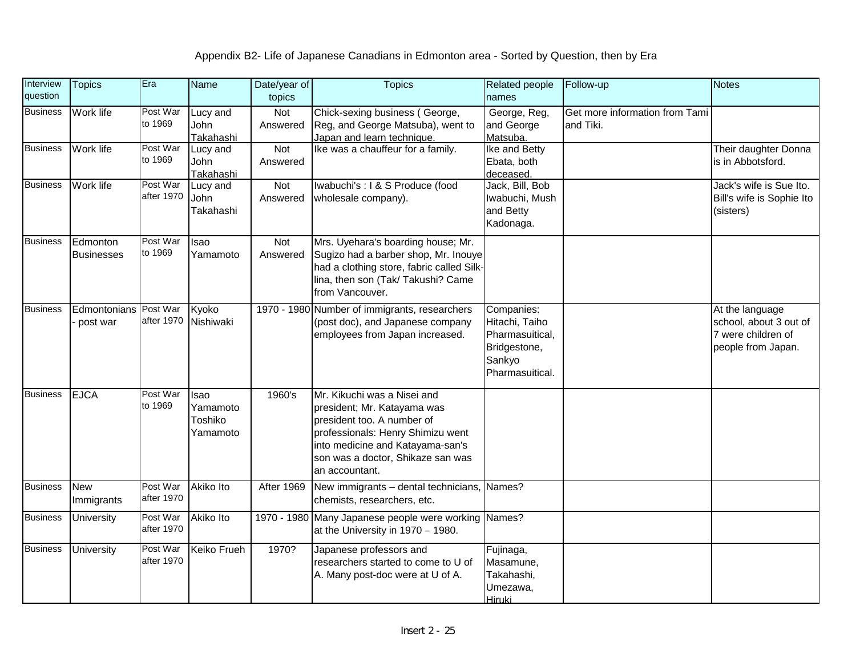| Interview<br>question | <b>Topics</b>                     | Era                    | <b>Name</b>                             | Date/year of<br>topics | <b>Topics</b>                                                                                                                                                                                                            | Related people<br>names                                                                      | Follow-up                                   | <b>Notes</b>                                                                          |
|-----------------------|-----------------------------------|------------------------|-----------------------------------------|------------------------|--------------------------------------------------------------------------------------------------------------------------------------------------------------------------------------------------------------------------|----------------------------------------------------------------------------------------------|---------------------------------------------|---------------------------------------------------------------------------------------|
| <b>Business</b>       | Work life                         | Post War<br>to 1969    | Lucy and<br>John<br>Takahashi           | Not<br>Answered        | Chick-sexing business (George,<br>Reg, and George Matsuba), went to<br>Japan and learn technique.                                                                                                                        | George, Reg,<br>and George<br>Matsuba.                                                       | Get more information from Tami<br>and Tiki. |                                                                                       |
| <b>Business</b>       | Work life                         | Post War<br>to 1969    | Lucy and<br>John<br>Takahashi           | Not<br>Answered        | Ike was a chauffeur for a family.                                                                                                                                                                                        | Ike and Betty<br>Ebata, both<br>deceased.                                                    |                                             | Their daughter Donna<br>is in Abbotsford.                                             |
| <b>Business</b>       | Work life                         | Post War<br>after 1970 | Lucy and<br>John<br>Takahashi           | Not<br>Answered        | Iwabuchi's : I & S Produce (food<br>wholesale company).                                                                                                                                                                  | Jack, Bill, Bob<br>Iwabuchi, Mush<br>and Betty<br>Kadonaga.                                  |                                             | Jack's wife is Sue Ito.<br>Bill's wife is Sophie Ito<br>(sisters)                     |
| <b>Business</b>       | Edmonton<br><b>Businesses</b>     | Post War<br>to 1969    | Isao<br>Yamamoto                        | Not<br>Answered        | Mrs. Uyehara's boarding house; Mr.<br>Sugizo had a barber shop, Mr. Inouye<br>had a clothing store, fabric called Silk-<br>lina, then son (Tak/ Takushi? Came<br>from Vancouver.                                         |                                                                                              |                                             |                                                                                       |
| <b>Business</b>       | Edmontonians Post War<br>post war | after 1970             | Kyoko<br>Nishiwaki                      |                        | 1970 - 1980 Number of immigrants, researchers<br>(post doc), and Japanese company<br>employees from Japan increased.                                                                                                     | Companies:<br>Hitachi, Taiho<br>Pharmasuitical,<br>Bridgestone,<br>Sankyo<br>Pharmasuitical. |                                             | At the language<br>school, about 3 out of<br>7 were children of<br>people from Japan. |
| <b>Business</b>       | <b>EJCA</b>                       | Post War<br>to 1969    | Isao<br>Yamamoto<br>Toshiko<br>Yamamoto | 1960's                 | Mr. Kikuchi was a Nisei and<br>president; Mr. Katayama was<br>president too. A number of<br>professionals: Henry Shimizu went<br>into medicine and Katayama-san's<br>son was a doctor, Shikaze san was<br>an accountant. |                                                                                              |                                             |                                                                                       |
| <b>Business</b>       | <b>New</b><br>Immigrants          | Post War<br>after 1970 | <b>Akiko Ito</b>                        | <b>After 1969</b>      | New immigrants - dental technicians, Names?<br>chemists, researchers, etc.                                                                                                                                               |                                                                                              |                                             |                                                                                       |
| <b>Business</b>       | <b>University</b>                 | Post War<br>after 1970 | Akiko Ito                               | 1970 - 1980            | Many Japanese people were working Names?<br>at the University in 1970 - 1980.                                                                                                                                            |                                                                                              |                                             |                                                                                       |
| <b>Business</b>       | University                        | Post War<br>after 1970 | <b>Keiko Frueh</b>                      | 1970?                  | Japanese professors and<br>researchers started to come to U of<br>A. Many post-doc were at U of A.                                                                                                                       | Fujinaga,<br>Masamune,<br>Takahashi,<br>Umezawa,<br><b>Hiruki</b>                            |                                             |                                                                                       |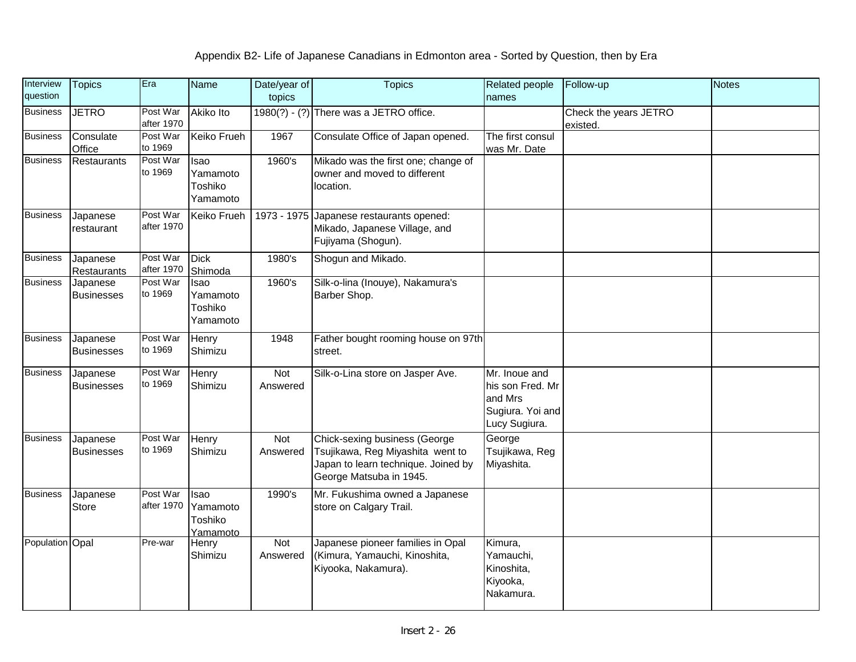| Interview<br>question | <b>Topics</b>                  | Era                    | <b>Name</b>                             | Date/year of<br>topics | <b>Topics</b>                                                                                                                       | Related people<br>names                                                           | Follow-up                         | <b>Notes</b> |
|-----------------------|--------------------------------|------------------------|-----------------------------------------|------------------------|-------------------------------------------------------------------------------------------------------------------------------------|-----------------------------------------------------------------------------------|-----------------------------------|--------------|
| <b>Business</b>       | <b>JETRO</b>                   | Post War<br>after 1970 | Akiko Ito                               |                        | $1980(?) - (?)$ There was a JETRO office.                                                                                           |                                                                                   | Check the years JETRO<br>existed. |              |
| <b>Business</b>       | Consulate<br>Office            | Post War<br>to 1969    | Keiko Frueh                             | 1967                   | Consulate Office of Japan opened.                                                                                                   | The first consul<br>was Mr. Date                                                  |                                   |              |
| <b>Business</b>       | <b>Restaurants</b>             | Post War<br>to 1969    | Isao<br>Yamamoto<br>Toshiko<br>Yamamoto | 1960's                 | Mikado was the first one; change of<br>owner and moved to different<br>location.                                                    |                                                                                   |                                   |              |
| <b>Business</b>       | Japanese<br>restaurant         | Post War<br>after 1970 | Keiko Frueh                             | 1973 - 1975            | Japanese restaurants opened:<br>Mikado, Japanese Village, and<br>Fujiyama (Shogun).                                                 |                                                                                   |                                   |              |
| <b>Business</b>       | Japanese<br><b>Restaurants</b> | Post War<br>after 1970 | <b>Dick</b><br>Shimoda                  | 1980's                 | Shogun and Mikado.                                                                                                                  |                                                                                   |                                   |              |
| <b>Business</b>       | Japanese<br><b>Businesses</b>  | Post War<br>to 1969    | Isao<br>Yamamoto<br>Toshiko<br>Yamamoto | 1960's                 | Silk-o-lina (Inouye), Nakamura's<br>Barber Shop.                                                                                    |                                                                                   |                                   |              |
| <b>Business</b>       | Japanese<br><b>Businesses</b>  | Post War<br>to 1969    | <b>Henry</b><br>Shimizu                 | 1948                   | Father bought rooming house on 97th<br>street.                                                                                      |                                                                                   |                                   |              |
| <b>Business</b>       | Japanese<br><b>Businesses</b>  | Post War<br>to 1969    | Henry<br>Shimizu                        | Not<br>Answered        | Silk-o-Lina store on Jasper Ave.                                                                                                    | Mr. Inoue and<br>his son Fred. Mr<br>and Mrs<br>Sugiura. Yoi and<br>Lucy Sugiura. |                                   |              |
| <b>Business</b>       | Japanese<br><b>Businesses</b>  | Post War<br>to 1969    | Henry<br>Shimizu                        | Not<br>Answered        | Chick-sexing business (George<br>Tsujikawa, Reg Miyashita went to<br>Japan to learn technique. Joined by<br>George Matsuba in 1945. | George<br>Tsujikawa, Reg<br>Miyashita.                                            |                                   |              |
| <b>Business</b>       | Japanese<br><b>Store</b>       | Post War<br>after 1970 | Isao<br>Yamamoto<br>Toshiko<br>Yamamoto | 1990's                 | Mr. Fukushima owned a Japanese<br>store on Calgary Trail.                                                                           |                                                                                   |                                   |              |
| Population Opal       |                                | Pre-war                | Henry<br>Shimizu                        | Not<br>Answered        | Japanese pioneer families in Opal<br>(Kimura, Yamauchi, Kinoshita,<br>Kiyooka, Nakamura).                                           | Kimura,<br>Yamauchi,<br>Kinoshita,<br>Kiyooka,<br>Nakamura.                       |                                   |              |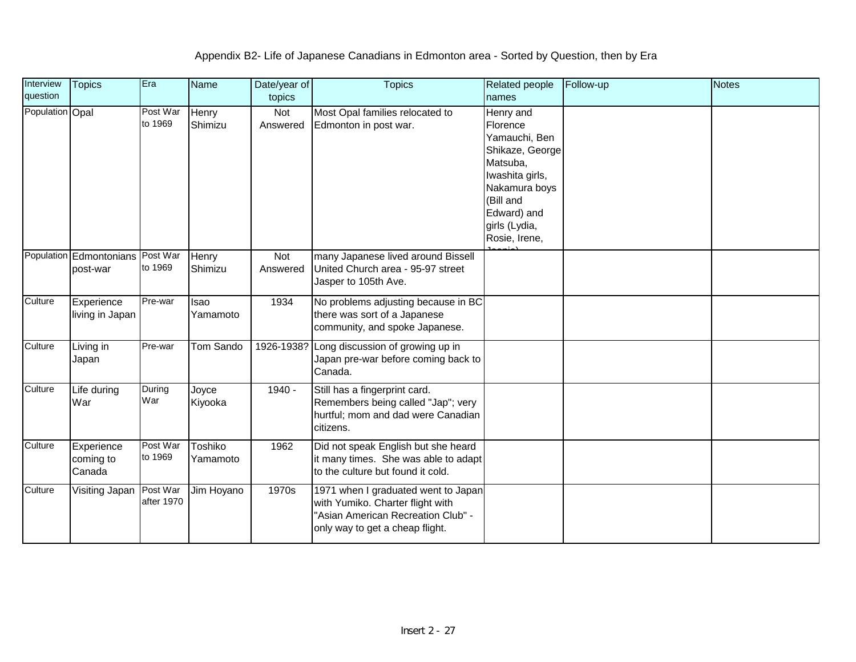| Interview       | <b>Topics</b>                                | Era                    | Name                    | Date/year of    | <b>Topics</b>                                                                                                                                    | <b>Related people</b>                                                                                                                                                   | Follow-up | <b>Notes</b> |
|-----------------|----------------------------------------------|------------------------|-------------------------|-----------------|--------------------------------------------------------------------------------------------------------------------------------------------------|-------------------------------------------------------------------------------------------------------------------------------------------------------------------------|-----------|--------------|
| question        |                                              |                        |                         | topics          |                                                                                                                                                  | names                                                                                                                                                                   |           |              |
| Population Opal |                                              | Post War<br>to 1969    | <b>Henry</b><br>Shimizu | Not<br>Answered | Most Opal families relocated to<br>Edmonton in post war.                                                                                         | Henry and<br>Florence<br>Yamauchi, Ben<br>Shikaze, George<br>Matsuba,<br>Iwashita girls,<br>Nakamura boys<br>(Bill and<br>Edward) and<br>girls (Lydia,<br>Rosie, Irene, |           |              |
|                 | Population Edmontonians Post War<br>post-war | to 1969                | <b>Henry</b><br>Shimizu | Not<br>Answered | many Japanese lived around Bissell<br>United Church area - 95-97 street<br>Jasper to 105th Ave.                                                  |                                                                                                                                                                         |           |              |
| Culture         | Experience<br>living in Japan                | Pre-war                | <b>Isao</b><br>Yamamoto | 1934            | No problems adjusting because in BC<br>there was sort of a Japanese<br>community, and spoke Japanese.                                            |                                                                                                                                                                         |           |              |
| Culture         | Living in<br>Japan                           | Pre-war                | Tom Sando               | 1926-1938?      | Long discussion of growing up in<br>Japan pre-war before coming back to<br>Canada.                                                               |                                                                                                                                                                         |           |              |
| Culture         | Life during<br>War                           | During<br>War          | Joyce<br>Kiyooka        | 1940 -          | Still has a fingerprint card.<br>Remembers being called "Jap"; very<br>hurtful; mom and dad were Canadian<br>citizens.                           |                                                                                                                                                                         |           |              |
| Culture         | Experience<br>coming to<br>Canada            | Post War<br>to 1969    | Toshiko<br>Yamamoto     | 1962            | Did not speak English but she heard<br>it many times. She was able to adapt<br>to the culture but found it cold.                                 |                                                                                                                                                                         |           |              |
| Culture         | Visiting Japan                               | Post War<br>after 1970 | Jim Hoyano              | 1970s           | 1971 when I graduated went to Japan<br>with Yumiko. Charter flight with<br>"Asian American Recreation Club" -<br>only way to get a cheap flight. |                                                                                                                                                                         |           |              |